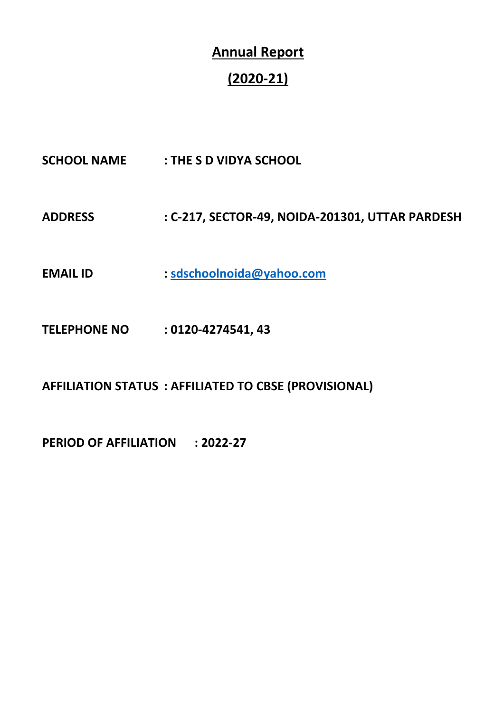# **Annual Report**

# **(2020-21)**

- **SCHOOL NAME : THE S D VIDYA SCHOOL**
- **ADDRESS : C-217, SECTOR-49, NOIDA-201301, UTTAR PARDESH**
- **EMAIL ID : [sdschoolnoida@yahoo.com](mailto:sdschoolnoida@yahoo.com)**
- **TELEPHONE NO : 0120-4274541, 43**

**AFFILIATION STATUS : AFFILIATED TO CBSE (PROVISIONAL)**

**PERIOD OF AFFILIATION : 2022-27**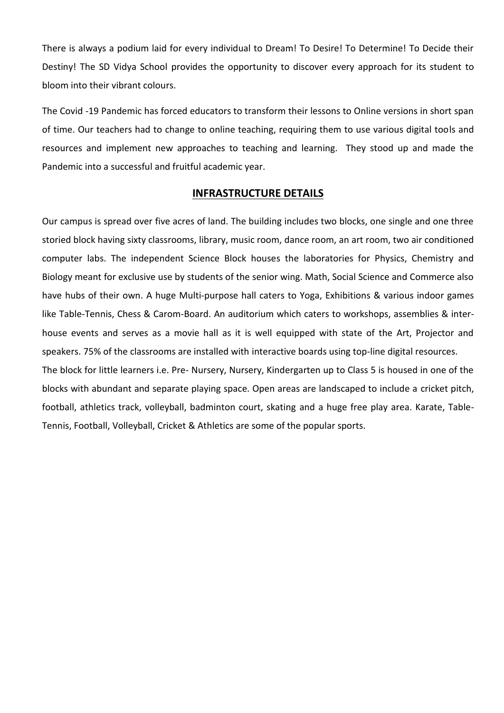There is always a podium laid for every individual to Dream! To Desire! To Determine! To Decide their Destiny! The SD Vidya School provides the opportunity to discover every approach for its student to bloom into their vibrant colours.

The Covid -19 Pandemic has forced educators to transform their lessons to Online versions in short span of time. Our teachers had to change to online teaching, requiring them to use various digital tools and resources and implement new approaches to teaching and learning. They stood up and made the Pandemic into a successful and fruitful academic year.

### **INFRASTRUCTURE DETAILS**

Our campus is spread over five acres of land. The building includes two blocks, one single and one three storied block having sixty classrooms, library, music room, dance room, an art room, two air conditioned computer labs. The independent Science Block houses the laboratories for Physics, Chemistry and Biology meant for exclusive use by students of the senior wing. Math, Social Science and Commerce also have hubs of their own. A huge Multi-purpose hall caters to Yoga, Exhibitions & various indoor games like Table-Tennis, Chess & Carom-Board. An auditorium which caters to workshops, assemblies & interhouse events and serves as a movie hall as it is well equipped with state of the Art, Projector and speakers. 75% of the classrooms are installed with interactive boards using top-line digital resources.

The block for little learners i.e. Pre- Nursery, Nursery, Kindergarten up to Class 5 is housed in one of the blocks with abundant and separate playing space. Open areas are landscaped to include a cricket pitch, football, athletics track, volleyball, badminton court, skating and a huge free play area. Karate, Table-Tennis, Football, Volleyball, Cricket & Athletics are some of the popular sports.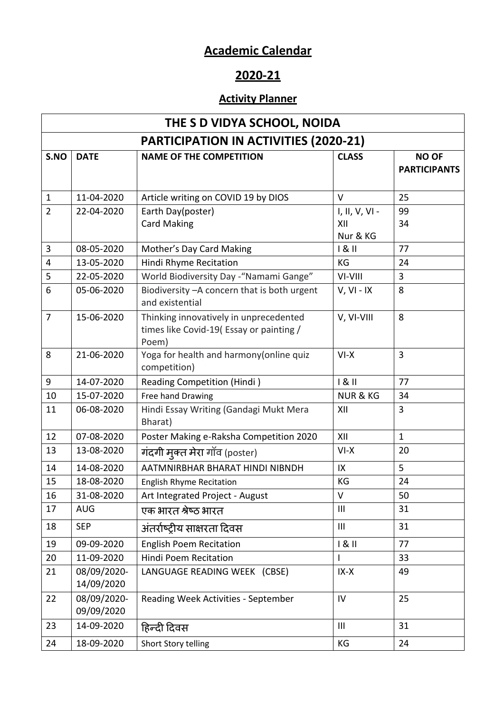## **Academic Calendar**

## **2020-21**

### **Activity Planner**

|                | THE S D VIDYA SCHOOL, NOIDA |                                                                                            |                                   |                                     |  |  |  |  |  |
|----------------|-----------------------------|--------------------------------------------------------------------------------------------|-----------------------------------|-------------------------------------|--|--|--|--|--|
|                |                             | <b>PARTICIPATION IN ACTIVITIES (2020-21)</b>                                               |                                   |                                     |  |  |  |  |  |
| S.NO           | <b>DATE</b>                 | <b>NAME OF THE COMPETITION</b>                                                             | <b>CLASS</b>                      | <b>NO OF</b><br><b>PARTICIPANTS</b> |  |  |  |  |  |
| $\mathbf{1}$   | 11-04-2020                  | Article writing on COVID 19 by DIOS                                                        | $\vee$                            | 25                                  |  |  |  |  |  |
| $\overline{2}$ | 22-04-2020                  | Earth Day(poster)<br><b>Card Making</b>                                                    | I, II, V, VI -<br>XII<br>Nur & KG | 99<br>34                            |  |  |  |  |  |
| 3              | 08-05-2020                  | Mother's Day Card Making                                                                   | 181                               | 77                                  |  |  |  |  |  |
| 4              | 13-05-2020                  | Hindi Rhyme Recitation                                                                     | KG                                | 24                                  |  |  |  |  |  |
| 5              | 22-05-2020                  | World Biodiversity Day - "Namami Gange"                                                    | VI-VIII                           | 3                                   |  |  |  |  |  |
| 6              | 05-06-2020                  | Biodiversity - A concern that is both urgent<br>and existential                            | $V, VI - IX$                      | 8                                   |  |  |  |  |  |
| $\overline{7}$ | 15-06-2020                  | Thinking innovatively in unprecedented<br>times like Covid-19(Essay or painting /<br>Poem) | V, VI-VIII                        | 8                                   |  |  |  |  |  |
| 8              | 21-06-2020                  | Yoga for health and harmony (online quiz<br>competition)                                   | $VI-X$                            | $\overline{3}$                      |  |  |  |  |  |
| 9              | 14-07-2020                  | <b>Reading Competition (Hindi)</b>                                                         | 181                               | 77                                  |  |  |  |  |  |
| 10             | 15-07-2020                  | Free hand Drawing                                                                          | <b>NUR &amp; KG</b>               | 34                                  |  |  |  |  |  |
| 11             | 06-08-2020                  | Hindi Essay Writing (Gandagi Mukt Mera<br>Bharat)                                          | XII                               | 3                                   |  |  |  |  |  |
| 12             | 07-08-2020                  | Poster Making e-Raksha Competition 2020                                                    | XII                               | $\mathbf{1}$                        |  |  |  |  |  |
| 13             | 13-08-2020                  | गंदगी मुक्त मेरा गॉव (poster)                                                              | $VI-X$                            | 20                                  |  |  |  |  |  |
| 14             | 14-08-2020                  | AATMNIRBHAR BHARAT HINDI NIBNDH                                                            | IX                                | 5                                   |  |  |  |  |  |
| 15             | 18-08-2020                  | <b>English Rhyme Recitation</b>                                                            | KG                                | 24                                  |  |  |  |  |  |
| 16             | 31-08-2020                  | Art Integrated Project - August                                                            | $\vee$                            | 50                                  |  |  |  |  |  |
| 17             | <b>AUG</b>                  | एक भारत श्रेष्ठ भारत                                                                       | Ш                                 | 31                                  |  |  |  |  |  |
| 18             | <b>SEP</b>                  | अंतर्राष्ट्रीय साक्षरता दिवस                                                               | $\mathbf{III}$                    | 31                                  |  |  |  |  |  |
| 19             | 09-09-2020                  | <b>English Poem Recitation</b>                                                             | 181                               | 77                                  |  |  |  |  |  |
| 20             | 11-09-2020                  | <b>Hindi Poem Recitation</b>                                                               | $\mathbf{I}$                      | 33                                  |  |  |  |  |  |
| 21             | 08/09/2020-<br>14/09/2020   | LANGUAGE READING WEEK (CBSE)                                                               | $IX-X$                            | 49                                  |  |  |  |  |  |
| 22             | 08/09/2020-<br>09/09/2020   | Reading Week Activities - September                                                        | IV                                | 25                                  |  |  |  |  |  |
| 23             | 14-09-2020                  | हिन्दी दिवस                                                                                | $\mathbf{III}$                    | 31                                  |  |  |  |  |  |
| 24             | 18-09-2020                  | Short Story telling                                                                        | KG                                | 24                                  |  |  |  |  |  |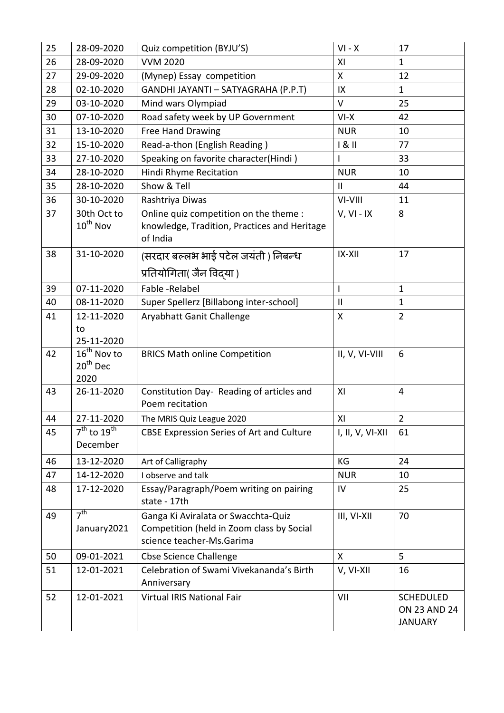| 25 | 28-09-2020                     | Quiz competition (BYJU'S)                                                                                     | $VI - X$         | 17                                                        |
|----|--------------------------------|---------------------------------------------------------------------------------------------------------------|------------------|-----------------------------------------------------------|
| 26 | 28-09-2020                     | <b>VVM 2020</b>                                                                                               | XI               | $\mathbf{1}$                                              |
| 27 | 29-09-2020                     | (Mynep) Essay competition                                                                                     | X                | 12                                                        |
| 28 | 02-10-2020                     | GANDHI JAYANTI - SATYAGRAHA (P.P.T)                                                                           | IX               | $\mathbf{1}$                                              |
| 29 | 03-10-2020                     | Mind wars Olympiad                                                                                            | V                | 25                                                        |
| 30 | 07-10-2020                     | Road safety week by UP Government                                                                             | $VI-X$           | 42                                                        |
| 31 | 13-10-2020                     | <b>Free Hand Drawing</b>                                                                                      | <b>NUR</b>       | 10                                                        |
| 32 | 15-10-2020                     | Read-a-thon (English Reading)                                                                                 | 181              | 77                                                        |
| 33 | 27-10-2020                     | Speaking on favorite character(Hindi)                                                                         |                  | 33                                                        |
| 34 | 28-10-2020                     | Hindi Rhyme Recitation                                                                                        | <b>NUR</b>       | 10                                                        |
| 35 | 28-10-2020                     | Show & Tell                                                                                                   | $\mathbf{II}$    | 44                                                        |
| 36 | 30-10-2020                     | Rashtriya Diwas                                                                                               | VI-VIII          | 11                                                        |
| 37 | 30th Oct to<br>$10^{th}$ Nov   | Online quiz competition on the theme :<br>knowledge, Tradition, Practices and Heritage<br>of India            | $V, VI - IX$     | 8                                                         |
| 38 | 31-10-2020                     | (सरदार बल्लभ भाई पटेल जयंती ) निबन्ध                                                                          | $IX-XII$         | 17                                                        |
|    |                                | प्रतियोगिता( जैन विद्या )                                                                                     |                  |                                                           |
| 39 | 07-11-2020                     | Fable - Relabel                                                                                               | $\overline{1}$   | $\mathbf{1}$                                              |
| 40 | 08-11-2020                     | Super Spellerz [Billabong inter-school]                                                                       | $\mathbf{I}$     | $\mathbf{1}$                                              |
| 41 | 12-11-2020                     | Aryabhatt Ganit Challenge                                                                                     | X                | $\overline{2}$                                            |
|    | to                             |                                                                                                               |                  |                                                           |
|    | 25-11-2020                     |                                                                                                               |                  |                                                           |
| 42 | $16^{th}$ Nov to               | <b>BRICS Math online Competition</b>                                                                          | II, V, VI-VIII   | 6                                                         |
|    | $20th$ Dec                     |                                                                                                               |                  |                                                           |
| 43 | 2020<br>26-11-2020             | Constitution Day- Reading of articles and                                                                     | XI               | $\overline{4}$                                            |
|    |                                | Poem recitation                                                                                               |                  |                                                           |
| 44 | 27-11-2020                     | The MRIS Quiz League 2020                                                                                     | XI               | $\overline{2}$                                            |
| 45 | $7th$ to $19th$<br>December    | CBSE Expression Series of Art and Culture                                                                     | I, II, V, VI-XII | 61                                                        |
| 46 | 13-12-2020                     | Art of Calligraphy                                                                                            | KG               | 24                                                        |
| 47 | 14-12-2020                     | I observe and talk                                                                                            | <b>NUR</b>       | 10                                                        |
| 48 | 17-12-2020                     | Essay/Paragraph/Poem writing on pairing<br>state - 17th                                                       | IV               | 25                                                        |
| 49 | 7 <sup>th</sup><br>January2021 | Ganga Ki Aviralata or Swacchta-Quiz<br>Competition (held in Zoom class by Social<br>science teacher-Ms.Garima | III, VI-XII      | 70                                                        |
| 50 | 09-01-2021                     | <b>Cbse Science Challenge</b>                                                                                 | $\mathsf{X}$     | 5                                                         |
| 51 | 12-01-2021                     | Celebration of Swami Vivekananda's Birth<br>Anniversary                                                       | V, VI-XII        | 16                                                        |
| 52 | 12-01-2021                     | Virtual IRIS National Fair                                                                                    | VII              | <b>SCHEDULED</b><br><b>ON 23 AND 24</b><br><b>JANUARY</b> |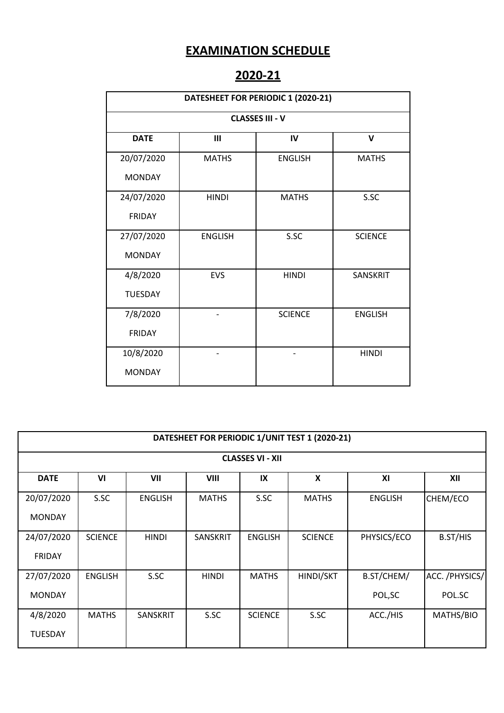### **EXAMINATION SCHEDULE**

## **2020-21**

|                        | DATESHEET FOR PERIODIC 1 (2020-21) |                |                |  |  |  |  |  |  |  |
|------------------------|------------------------------------|----------------|----------------|--|--|--|--|--|--|--|
| <b>CLASSES III - V</b> |                                    |                |                |  |  |  |  |  |  |  |
| <b>DATE</b>            | Ш                                  | IV             | $\mathbf v$    |  |  |  |  |  |  |  |
| 20/07/2020             | <b>MATHS</b>                       | <b>ENGLISH</b> | <b>MATHS</b>   |  |  |  |  |  |  |  |
| <b>MONDAY</b>          |                                    |                |                |  |  |  |  |  |  |  |
| 24/07/2020             | <b>HINDI</b>                       | <b>MATHS</b>   | S.SC           |  |  |  |  |  |  |  |
| <b>FRIDAY</b>          |                                    |                |                |  |  |  |  |  |  |  |
| 27/07/2020             | <b>ENGLISH</b>                     | S.SC           | <b>SCIENCE</b> |  |  |  |  |  |  |  |
| <b>MONDAY</b>          |                                    |                |                |  |  |  |  |  |  |  |
| 4/8/2020               | EVS                                | <b>HINDI</b>   | SANSKRIT       |  |  |  |  |  |  |  |
| <b>TUESDAY</b>         |                                    |                |                |  |  |  |  |  |  |  |
| 7/8/2020               |                                    | <b>SCIENCE</b> | <b>ENGLISH</b> |  |  |  |  |  |  |  |
| <b>FRIDAY</b>          |                                    |                |                |  |  |  |  |  |  |  |
| 10/8/2020              |                                    |                | <b>HINDI</b>   |  |  |  |  |  |  |  |
| <b>MONDAY</b>          |                                    |                |                |  |  |  |  |  |  |  |

|               | DATESHEET FOR PERIODIC 1/UNIT TEST 1 (2020-21) |                 |                 |                |                |                |                 |  |  |  |  |  |
|---------------|------------------------------------------------|-----------------|-----------------|----------------|----------------|----------------|-----------------|--|--|--|--|--|
|               | <b>CLASSES VI - XII</b>                        |                 |                 |                |                |                |                 |  |  |  |  |  |
| <b>DATE</b>   | VI                                             | VII             | <b>VIII</b>     | IX             | X              | XI             | XII             |  |  |  |  |  |
| 20/07/2020    | S.SC                                           | <b>ENGLISH</b>  | <b>MATHS</b>    | S.SC           | <b>MATHS</b>   | <b>ENGLISH</b> | CHEM/ECO        |  |  |  |  |  |
| <b>MONDAY</b> |                                                |                 |                 |                |                |                |                 |  |  |  |  |  |
| 24/07/2020    | <b>SCIENCE</b>                                 | <b>HINDI</b>    | <b>SANSKRIT</b> | <b>ENGLISH</b> | <b>SCIENCE</b> | PHYSICS/ECO    | B.ST/HIS        |  |  |  |  |  |
| <b>FRIDAY</b> |                                                |                 |                 |                |                |                |                 |  |  |  |  |  |
| 27/07/2020    | <b>ENGLISH</b>                                 | S.SC            | <b>HINDI</b>    | <b>MATHS</b>   | HINDI/SKT      | B.ST/CHEM/     | ACC. / PHYSICS/ |  |  |  |  |  |
| <b>MONDAY</b> |                                                |                 |                 |                |                | POL, SC        | POL.SC          |  |  |  |  |  |
| 4/8/2020      | <b>MATHS</b>                                   | <b>SANSKRIT</b> | S.SC            | <b>SCIENCE</b> | S.SC           | ACC./HIS       | MATHS/BIO       |  |  |  |  |  |
| TUESDAY       |                                                |                 |                 |                |                |                |                 |  |  |  |  |  |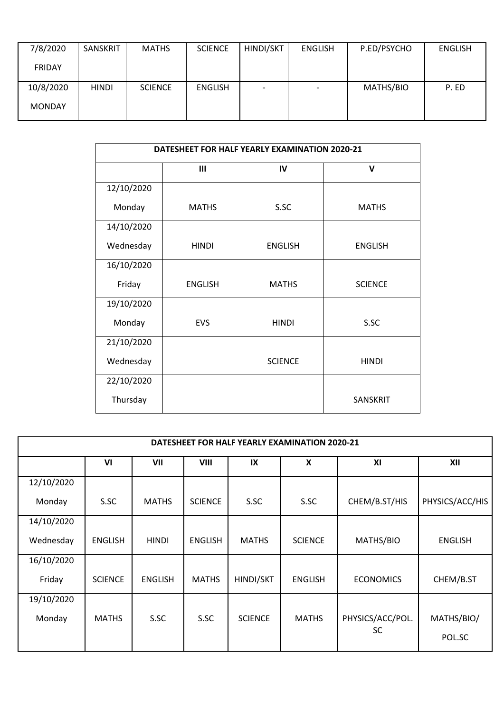| 7/8/2020      | SANSKRIT     | <b>MATHS</b>   | <b>SCIENCE</b> | HINDI/SKT                | <b>ENGLISH</b> | P.ED/PSYCHO | <b>ENGLISH</b> |
|---------------|--------------|----------------|----------------|--------------------------|----------------|-------------|----------------|
| FRIDAY        |              |                |                |                          |                |             |                |
| 10/8/2020     | <b>HINDI</b> | <b>SCIENCE</b> | <b>ENGLISH</b> | $\overline{\phantom{0}}$ |                | MATHS/BIO   | P. ED          |
| <b>MONDAY</b> |              |                |                |                          |                |             |                |

|            | DATESHEET FOR HALF YEARLY EXAMINATION 2020-21 |                |                |  |  |  |  |  |  |
|------------|-----------------------------------------------|----------------|----------------|--|--|--|--|--|--|
|            | Ш                                             | IV             | $\mathsf{v}$   |  |  |  |  |  |  |
| 12/10/2020 |                                               |                |                |  |  |  |  |  |  |
| Monday     | <b>MATHS</b>                                  | S.SC           | <b>MATHS</b>   |  |  |  |  |  |  |
| 14/10/2020 |                                               |                |                |  |  |  |  |  |  |
| Wednesday  | <b>HINDI</b>                                  | <b>ENGLISH</b> | <b>ENGLISH</b> |  |  |  |  |  |  |
| 16/10/2020 |                                               |                |                |  |  |  |  |  |  |
| Friday     | <b>ENGLISH</b>                                | <b>MATHS</b>   | <b>SCIENCE</b> |  |  |  |  |  |  |
| 19/10/2020 |                                               |                |                |  |  |  |  |  |  |
| Monday     | EVS                                           | <b>HINDI</b>   | S.SC           |  |  |  |  |  |  |
| 21/10/2020 |                                               |                |                |  |  |  |  |  |  |
| Wednesday  |                                               | <b>SCIENCE</b> | <b>HINDI</b>   |  |  |  |  |  |  |
| 22/10/2020 |                                               |                |                |  |  |  |  |  |  |
| Thursday   |                                               |                | SANSKRIT       |  |  |  |  |  |  |

|            |                |                |                |                | DATESHEET FOR HALF YEARLY EXAMINATION 2020-21 |                  |                 |
|------------|----------------|----------------|----------------|----------------|-----------------------------------------------|------------------|-----------------|
|            | V <sub>l</sub> | VII            | VIII           | IX             | $\boldsymbol{\mathsf{x}}$                     | XI               | XII             |
| 12/10/2020 |                |                |                |                |                                               |                  |                 |
| Monday     | S.SC           | <b>MATHS</b>   | <b>SCIENCE</b> | S.SC           | S.SC                                          | CHEM/B.ST/HIS    | PHYSICS/ACC/HIS |
| 14/10/2020 |                |                |                |                |                                               |                  |                 |
| Wednesday  | <b>ENGLISH</b> | <b>HINDI</b>   | <b>ENGLISH</b> | <b>MATHS</b>   | <b>SCIENCE</b>                                | MATHS/BIO        | <b>ENGLISH</b>  |
| 16/10/2020 |                |                |                |                |                                               |                  |                 |
| Friday     | <b>SCIENCE</b> | <b>ENGLISH</b> | <b>MATHS</b>   | HINDI/SKT      | <b>ENGLISH</b>                                | <b>ECONOMICS</b> | CHEM/B.ST       |
| 19/10/2020 |                |                |                |                |                                               |                  |                 |
| Monday     | <b>MATHS</b>   | S.SC           | S.SC           | <b>SCIENCE</b> | <b>MATHS</b>                                  | PHYSICS/ACC/POL. | MATHS/BIO/      |
|            |                |                |                |                |                                               | <b>SC</b>        | POL.SC          |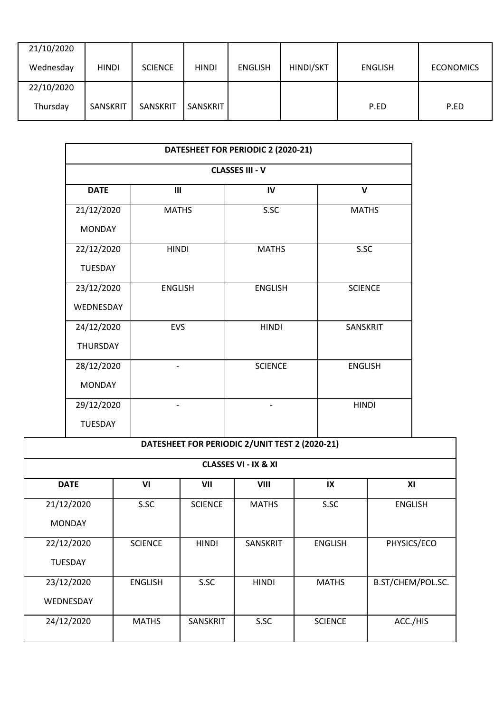| 21/10/2020 |              |                |                 |                |           |                |                  |
|------------|--------------|----------------|-----------------|----------------|-----------|----------------|------------------|
| Wednesday  | <b>HINDI</b> | <b>SCIENCE</b> | <b>HINDI</b>    | <b>ENGLISH</b> | HINDI/SKT | <b>ENGLISH</b> | <b>ECONOMICS</b> |
| 22/10/2020 |              |                |                 |                |           |                |                  |
| Thursday   | SANSKRIT     | SANSKRIT       | <b>SANSKRIT</b> |                |           | P.ED           | P.ED             |

| DATESHEET FOR PERIODIC 2 (2020-21) |                |                |                |  |  |  |  |  |  |
|------------------------------------|----------------|----------------|----------------|--|--|--|--|--|--|
| <b>CLASSES III - V</b>             |                |                |                |  |  |  |  |  |  |
| <b>DATE</b>                        | III            | IV             | $\mathbf v$    |  |  |  |  |  |  |
| 21/12/2020                         | <b>MATHS</b>   | S.SC           | <b>MATHS</b>   |  |  |  |  |  |  |
| <b>MONDAY</b>                      |                |                |                |  |  |  |  |  |  |
| 22/12/2020                         | <b>HINDI</b>   | <b>MATHS</b>   | S.SC           |  |  |  |  |  |  |
| <b>TUESDAY</b>                     |                |                |                |  |  |  |  |  |  |
| 23/12/2020                         | <b>ENGLISH</b> | <b>ENGLISH</b> | <b>SCIENCE</b> |  |  |  |  |  |  |
| WEDNESDAY                          |                |                |                |  |  |  |  |  |  |
| 24/12/2020                         | <b>EVS</b>     | <b>HINDI</b>   | SANSKRIT       |  |  |  |  |  |  |
| <b>THURSDAY</b>                    |                |                |                |  |  |  |  |  |  |
| 28/12/2020                         |                | <b>SCIENCE</b> | <b>ENGLISH</b> |  |  |  |  |  |  |
| <b>MONDAY</b>                      |                |                |                |  |  |  |  |  |  |
| 29/12/2020                         |                |                | <b>HINDI</b>   |  |  |  |  |  |  |
| <b>TUESDAY</b>                     |                |                |                |  |  |  |  |  |  |

|                | DATESHEET FOR PERIODIC 2/UNIT TEST 2 (2020-21) |                 |                 |                |                   |  |  |  |  |  |  |
|----------------|------------------------------------------------|-----------------|-----------------|----------------|-------------------|--|--|--|--|--|--|
|                | <b>CLASSES VI - IX &amp; XI</b>                |                 |                 |                |                   |  |  |  |  |  |  |
| <b>DATE</b>    | V <sub>l</sub>                                 | VII             | VIII            | IX             | XI                |  |  |  |  |  |  |
| 21/12/2020     | S.SC                                           | <b>SCIENCE</b>  | <b>MATHS</b>    | S.SC           | <b>ENGLISH</b>    |  |  |  |  |  |  |
| <b>MONDAY</b>  |                                                |                 |                 |                |                   |  |  |  |  |  |  |
| 22/12/2020     | <b>SCIENCE</b>                                 | <b>HINDI</b>    | <b>SANSKRIT</b> | <b>ENGLISH</b> | PHYSICS/ECO       |  |  |  |  |  |  |
| <b>TUESDAY</b> |                                                |                 |                 |                |                   |  |  |  |  |  |  |
| 23/12/2020     | <b>ENGLISH</b>                                 | S.SC            | <b>HINDI</b>    | <b>MATHS</b>   | B.ST/CHEM/POL.SC. |  |  |  |  |  |  |
| WEDNESDAY      |                                                |                 |                 |                |                   |  |  |  |  |  |  |
| 24/12/2020     | <b>MATHS</b>                                   | <b>SANSKRIT</b> | S.SC            | <b>SCIENCE</b> | ACC./HIS          |  |  |  |  |  |  |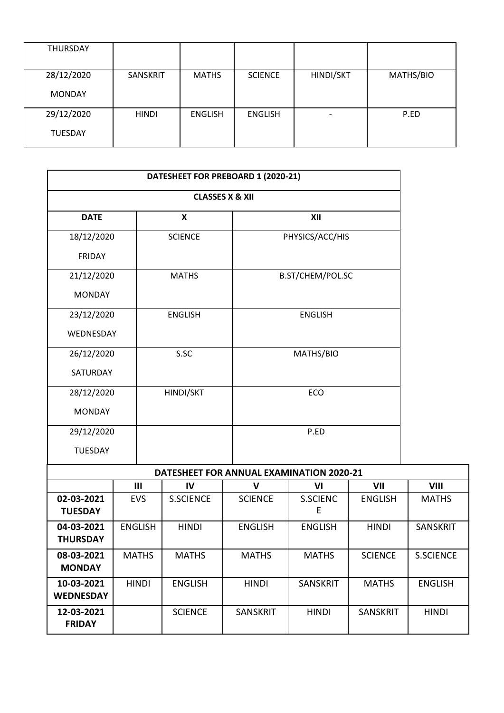| <b>THURSDAY</b>              |              |                |                |                          |           |
|------------------------------|--------------|----------------|----------------|--------------------------|-----------|
| 28/12/2020<br><b>MONDAY</b>  | SANSKRIT     | <b>MATHS</b>   | <b>SCIENCE</b> | HINDI/SKT                | MATHS/BIO |
| 29/12/2020<br><b>TUESDAY</b> | <b>HINDI</b> | <b>ENGLISH</b> | <b>ENGLISH</b> | $\overline{\phantom{0}}$ | P.ED      |

|                                | DATESHEET FOR PREBOARD 1 (2020-21) |                                |                           |                                          |                                |                |                  |  |  |
|--------------------------------|------------------------------------|--------------------------------|---------------------------|------------------------------------------|--------------------------------|----------------|------------------|--|--|
|                                |                                    |                                |                           | <b>CLASSES X &amp; XII</b>               |                                |                |                  |  |  |
| <b>DATE</b>                    |                                    |                                | $\boldsymbol{\mathsf{x}}$ |                                          | XII                            |                |                  |  |  |
| 18/12/2020                     | <b>SCIENCE</b>                     |                                |                           | PHYSICS/ACC/HIS                          |                                |                |                  |  |  |
| <b>FRIDAY</b>                  |                                    |                                |                           |                                          |                                |                |                  |  |  |
| 21/12/2020                     |                                    |                                | <b>MATHS</b>              |                                          | B.ST/CHEM/POL.SC               |                |                  |  |  |
| <b>MONDAY</b>                  |                                    |                                |                           |                                          |                                |                |                  |  |  |
| 23/12/2020                     |                                    |                                | <b>ENGLISH</b>            |                                          | <b>ENGLISH</b>                 |                |                  |  |  |
| WEDNESDAY                      |                                    |                                |                           |                                          |                                |                |                  |  |  |
| 26/12/2020                     |                                    |                                | S.SC                      |                                          | MATHS/BIO                      |                |                  |  |  |
| SATURDAY                       |                                    |                                |                           |                                          |                                |                |                  |  |  |
| 28/12/2020                     |                                    |                                | HINDI/SKT                 |                                          | ECO                            |                |                  |  |  |
| <b>MONDAY</b>                  |                                    |                                |                           |                                          |                                |                |                  |  |  |
| 29/12/2020                     |                                    |                                |                           |                                          | P.ED                           |                |                  |  |  |
| <b>TUESDAY</b>                 |                                    |                                |                           |                                          |                                |                |                  |  |  |
|                                |                                    |                                |                           | DATESHEET FOR ANNUAL EXAMINATION 2020-21 |                                |                |                  |  |  |
|                                |                                    | III                            | IV                        | $\mathbf v$                              | VI                             | VII            | <b>VIII</b>      |  |  |
| 02-03-2021<br><b>TUESDAY</b>   |                                    | <b>EVS</b>                     | <b>S.SCIENCE</b>          | <b>SCIENCE</b>                           | <b>S.SCIENC</b><br>E           | <b>ENGLISH</b> | <b>MATHS</b>     |  |  |
| 04-03-2021<br><b>THURSDAY</b>  |                                    | <b>ENGLISH</b><br><b>HINDI</b> |                           | <b>ENGLISH</b>                           | <b>ENGLISH</b><br><b>HINDI</b> |                | <b>SANSKRIT</b>  |  |  |
| 08-03-2021<br><b>MONDAY</b>    |                                    | <b>MATHS</b><br><b>MATHS</b>   |                           | <b>MATHS</b>                             | <b>MATHS</b>                   | <b>SCIENCE</b> | <b>S.SCIENCE</b> |  |  |
| 10-03-2021<br><b>WEDNESDAY</b> | <b>HINDI</b>                       |                                | <b>ENGLISH</b>            | <b>HINDI</b>                             | SANSKRIT                       | <b>MATHS</b>   | <b>ENGLISH</b>   |  |  |
| 12-03-2021<br><b>FRIDAY</b>    |                                    |                                | <b>SCIENCE</b>            | SANSKRIT                                 | <b>HINDI</b>                   | SANSKRIT       | <b>HINDI</b>     |  |  |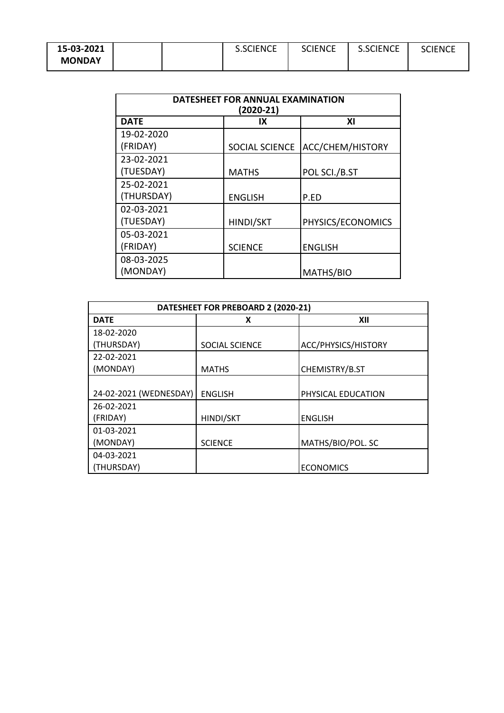| 15-03-2021    |  | <b>S.SCIENCE</b> | <b>SCIENCE</b> | <b>S.SCIENCE</b> | <b>SCIENCE</b> |
|---------------|--|------------------|----------------|------------------|----------------|
| <b>MONDAY</b> |  |                  |                |                  |                |

| DATESHEET FOR ANNUAL EXAMINATION<br>$(2020-21)$ |                       |                   |  |  |
|-------------------------------------------------|-----------------------|-------------------|--|--|
| <b>DATE</b>                                     | IX                    | ΧI                |  |  |
| 19-02-2020                                      |                       |                   |  |  |
| (FRIDAY)                                        | <b>SOCIAL SCIENCE</b> | ACC/CHEM/HISTORY  |  |  |
| 23-02-2021                                      |                       |                   |  |  |
| (TUESDAY)                                       | <b>MATHS</b>          | POL SCI./B.ST     |  |  |
| 25-02-2021                                      |                       |                   |  |  |
| (THURSDAY)                                      | <b>ENGLISH</b>        | P.ED              |  |  |
| 02-03-2021                                      |                       |                   |  |  |
| (TUESDAY)                                       | <b>HINDI/SKT</b>      | PHYSICS/ECONOMICS |  |  |
| 05-03-2021                                      |                       |                   |  |  |
| (FRIDAY)                                        | <b>SCIENCE</b>        | <b>ENGLISH</b>    |  |  |
| 08-03-2025                                      |                       |                   |  |  |
| (MONDAY)                                        |                       | MATHS/BIO         |  |  |

| DATESHEET FOR PREBOARD 2 (2020-21) |                       |                     |  |  |
|------------------------------------|-----------------------|---------------------|--|--|
| <b>DATE</b>                        | x                     | XII                 |  |  |
| 18-02-2020                         |                       |                     |  |  |
| (THURSDAY)                         | <b>SOCIAL SCIENCE</b> | ACC/PHYSICS/HISTORY |  |  |
| 22-02-2021                         |                       |                     |  |  |
| (MONDAY)                           | <b>MATHS</b>          | CHEMISTRY/B.ST      |  |  |
|                                    |                       |                     |  |  |
| 24-02-2021 (WEDNESDAY)             | <b>ENGLISH</b>        | PHYSICAL EDUCATION  |  |  |
| 26-02-2021                         |                       |                     |  |  |
| (FRIDAY)                           | HINDI/SKT             | <b>ENGLISH</b>      |  |  |
| 01-03-2021                         |                       |                     |  |  |
| (MONDAY)                           | <b>SCIENCE</b>        | MATHS/BIO/POL. SC   |  |  |
| 04-03-2021                         |                       |                     |  |  |
| (THURSDAY)                         |                       | <b>ECONOMICS</b>    |  |  |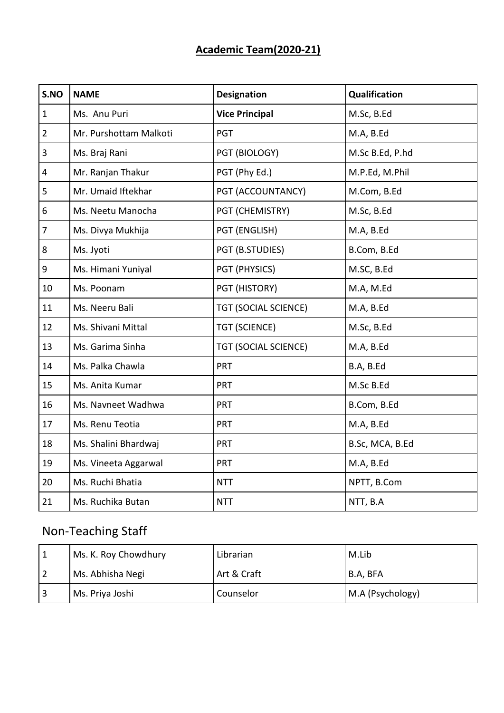## **Academic Team(2020-21)**

| S.NO           | <b>NAME</b>            | <b>Designation</b>          | Qualification   |  |
|----------------|------------------------|-----------------------------|-----------------|--|
| $\mathbf{1}$   | Ms. Anu Puri           | <b>Vice Principal</b>       | M.Sc, B.Ed      |  |
| $\overline{2}$ | Mr. Purshottam Malkoti | <b>PGT</b>                  | M.A, B.Ed       |  |
| 3              | Ms. Braj Rani          | PGT (BIOLOGY)               | M.Sc B.Ed, P.hd |  |
| 4              | Mr. Ranjan Thakur      | PGT (Phy Ed.)               | M.P.Ed, M.Phil  |  |
| 5              | Mr. Umaid Iftekhar     | PGT (ACCOUNTANCY)           | M.Com, B.Ed     |  |
| 6              | Ms. Neetu Manocha      | PGT (CHEMISTRY)             | M.Sc, B.Ed      |  |
| 7              | Ms. Divya Mukhija      | PGT (ENGLISH)               | M.A, B.Ed       |  |
| 8              | Ms. Jyoti              | PGT (B.STUDIES)             | B.Com, B.Ed     |  |
| 9              | Ms. Himani Yuniyal     | PGT (PHYSICS)               | M.SC, B.Ed      |  |
| 10             | Ms. Poonam             | PGT (HISTORY)               | M.A, M.Ed       |  |
| 11             | Ms. Neeru Bali         | <b>TGT (SOCIAL SCIENCE)</b> | M.A, B.Ed       |  |
| 12             | Ms. Shivani Mittal     | <b>TGT (SCIENCE)</b>        | M.Sc, B.Ed      |  |
| 13             | Ms. Garima Sinha       | <b>TGT (SOCIAL SCIENCE)</b> | M.A, B.Ed       |  |
| 14             | Ms. Palka Chawla       | <b>PRT</b>                  | B.A, B.Ed       |  |
| 15             | Ms. Anita Kumar        | <b>PRT</b>                  | M.Sc B.Ed       |  |
| 16             | Ms. Navneet Wadhwa     | <b>PRT</b>                  | B.Com, B.Ed     |  |
| 17             | Ms. Renu Teotia        | <b>PRT</b>                  | M.A, B.Ed       |  |
| 18             | Ms. Shalini Bhardwaj   | <b>PRT</b>                  | B.Sc, MCA, B.Ed |  |
| 19             | Ms. Vineeta Aggarwal   | <b>PRT</b>                  | M.A, B.Ed       |  |
| 20             | Ms. Ruchi Bhatia       | <b>NTT</b>                  | NPTT, B.Com     |  |
| 21             | Ms. Ruchika Butan      | <b>NTT</b>                  | NTT, B.A        |  |

# Non-Teaching Staff

| Ms. K. Roy Chowdhury | Librarian   | M.Lib            |
|----------------------|-------------|------------------|
| Ms. Abhisha Negi     | Art & Craft | B.A, BFA         |
| Ms. Priya Joshi      | Counselor   | M.A (Psychology) |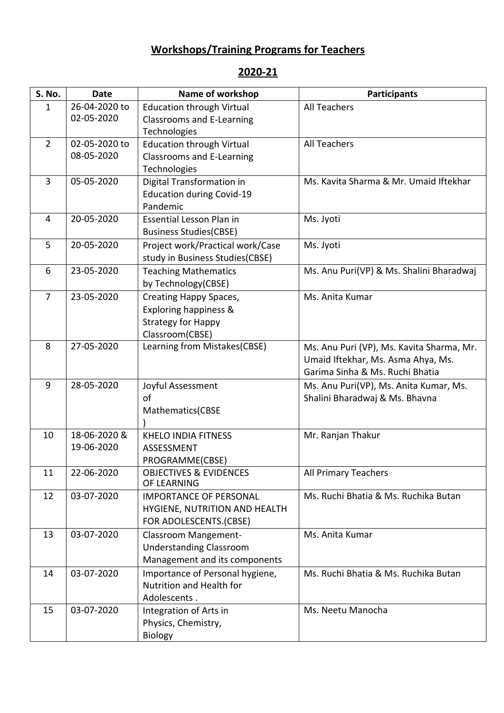## **Workshops/Training Programs for Teachers**

### **2020-21**

| S. No.         | <b>Date</b>   | Name of workshop                  | <b>Participants</b>                       |
|----------------|---------------|-----------------------------------|-------------------------------------------|
| 1              | 26-04-2020 to | <b>Education through Virtual</b>  | <b>All Teachers</b>                       |
|                | 02-05-2020    | <b>Classrooms and E-Learning</b>  |                                           |
|                |               | Technologies                      |                                           |
| $\overline{2}$ | 02-05-2020 to | <b>Education through Virtual</b>  | <b>All Teachers</b>                       |
|                | 08-05-2020    | <b>Classrooms and E-Learning</b>  |                                           |
|                |               | Technologies                      |                                           |
| $\overline{3}$ | 05-05-2020    | Digital Transformation in         | Ms. Kavita Sharma & Mr. Umaid Iftekhar    |
|                |               | <b>Education during Covid-19</b>  |                                           |
|                |               | Pandemic                          |                                           |
| 4              | 20-05-2020    | Essential Lesson Plan in          | Ms. Jyoti                                 |
|                |               | <b>Business Studies(CBSE)</b>     |                                           |
| 5              | 20-05-2020    | Project work/Practical work/Case  | Ms. Jyoti                                 |
|                |               | study in Business Studies(CBSE)   |                                           |
| 6              | 23-05-2020    | <b>Teaching Mathematics</b>       | Ms. Anu Puri(VP) & Ms. Shalini Bharadwaj  |
|                |               | by Technology(CBSE)               |                                           |
| $\overline{7}$ | 23-05-2020    | Creating Happy Spaces,            | Ms. Anita Kumar                           |
|                |               | Exploring happiness &             |                                           |
|                |               | <b>Strategy for Happy</b>         |                                           |
|                |               | Classroom(CBSE)                   |                                           |
| 8              | 27-05-2020    | Learning from Mistakes(CBSE)      | Ms. Anu Puri (VP), Ms. Kavita Sharma, Mr. |
|                |               |                                   | Umaid Iftekhar, Ms. Asma Ahya, Ms.        |
|                |               |                                   | Garima Sinha & Ms. Ruchi Bhatia           |
| 9              | 28-05-2020    | Joyful Assessment                 | Ms. Anu Puri(VP), Ms. Anita Kumar, Ms.    |
|                |               | of                                | Shalini Bharadwaj & Ms. Bhavna            |
|                |               | Mathematics(CBSE                  |                                           |
|                |               |                                   |                                           |
| 10             | 18-06-2020 &  | <b>KHELO INDIA FITNESS</b>        | Mr. Ranjan Thakur                         |
|                | 19-06-2020    | ASSESSMENT                        |                                           |
|                |               | PROGRAMME(CBSE)                   |                                           |
| 11             | 22-06-2020    | <b>OBJECTIVES &amp; EVIDENCES</b> | All Primary Teachers                      |
|                |               | OF LEARNING                       |                                           |
| 12             | 03-07-2020    | <b>IMPORTANCE OF PERSONAL</b>     | Ms. Ruchi Bhatia & Ms. Ruchika Butan      |
|                |               | HYGIENE, NUTRITION AND HEALTH     |                                           |
|                |               | FOR ADOLESCENTS.(CBSE)            |                                           |
| 13             | 03-07-2020    | Classroom Mangement-              | Ms. Anita Kumar                           |
|                |               | <b>Understanding Classroom</b>    |                                           |
|                |               | Management and its components     |                                           |
| 14             | 03-07-2020    | Importance of Personal hygiene,   | Ms. Ruchi Bhatia & Ms. Ruchika Butan      |
|                |               | Nutrition and Health for          |                                           |
|                |               | Adolescents.                      |                                           |
| 15             | 03-07-2020    | Integration of Arts in            | Ms. Neetu Manocha                         |
|                |               | Physics, Chemistry,               |                                           |
|                |               | <b>Biology</b>                    |                                           |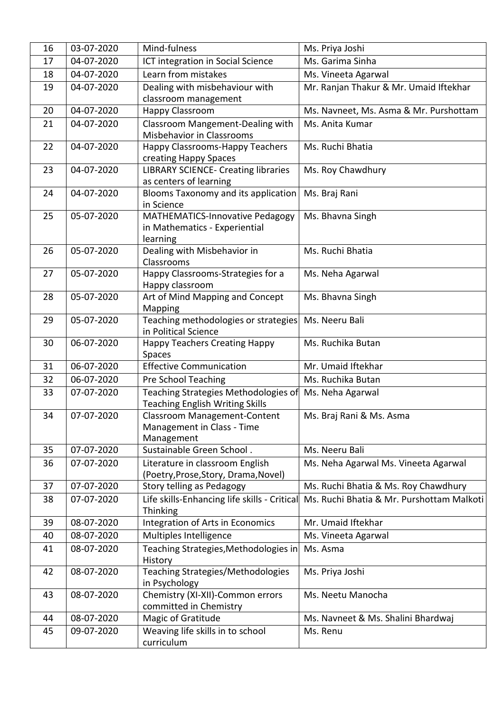| 16 | 03-07-2020 | Mind-fulness                                                                        | Ms. Priya Joshi                           |
|----|------------|-------------------------------------------------------------------------------------|-------------------------------------------|
| 17 | 04-07-2020 | ICT integration in Social Science                                                   | Ms. Garima Sinha                          |
| 18 | 04-07-2020 | Learn from mistakes                                                                 | Ms. Vineeta Agarwal                       |
| 19 | 04-07-2020 | Dealing with misbehaviour with                                                      | Mr. Ranjan Thakur & Mr. Umaid Iftekhar    |
|    |            | classroom management                                                                |                                           |
| 20 | 04-07-2020 | Happy Classroom                                                                     | Ms. Navneet, Ms. Asma & Mr. Purshottam    |
| 21 | 04-07-2020 | Classroom Mangement-Dealing with<br>Misbehavior in Classrooms                       | Ms. Anita Kumar                           |
| 22 | 04-07-2020 | Happy Classrooms-Happy Teachers<br>creating Happy Spaces                            | Ms. Ruchi Bhatia                          |
| 23 | 04-07-2020 | <b>LIBRARY SCIENCE- Creating libraries</b><br>as centers of learning                | Ms. Roy Chawdhury                         |
| 24 | 04-07-2020 | Blooms Taxonomy and its application<br>in Science                                   | Ms. Braj Rani                             |
| 25 | 05-07-2020 | <b>MATHEMATICS-Innovative Pedagogy</b><br>in Mathematics - Experiential<br>learning | Ms. Bhavna Singh                          |
| 26 | 05-07-2020 | Dealing with Misbehavior in<br>Classrooms                                           | Ms. Ruchi Bhatia                          |
| 27 | 05-07-2020 | Happy Classrooms-Strategies for a<br>Happy classroom                                | Ms. Neha Agarwal                          |
| 28 | 05-07-2020 | Art of Mind Mapping and Concept<br>Mapping                                          | Ms. Bhavna Singh                          |
| 29 | 05-07-2020 | Teaching methodologies or strategies<br>in Political Science                        | Ms. Neeru Bali                            |
| 30 | 06-07-2020 | <b>Happy Teachers Creating Happy</b><br>Spaces                                      | Ms. Ruchika Butan                         |
| 31 | 06-07-2020 | <b>Effective Communication</b>                                                      | Mr. Umaid Iftekhar                        |
| 32 | 06-07-2020 | Pre School Teaching                                                                 | Ms. Ruchika Butan                         |
| 33 | 07-07-2020 | Teaching Strategies Methodologies of<br><b>Teaching English Writing Skills</b>      | Ms. Neha Agarwal                          |
| 34 | 07-07-2020 | <b>Classroom Management-Content</b><br>Management in Class - Time<br>Management     | Ms. Braj Rani & Ms. Asma                  |
| 35 | 07-07-2020 | Sustainable Green School.                                                           | Ms. Neeru Bali                            |
| 36 | 07-07-2020 | Literature in classroom English<br>(Poetry, Prose, Story, Drama, Novel)             | Ms. Neha Agarwal Ms. Vineeta Agarwal      |
| 37 | 07-07-2020 | Story telling as Pedagogy                                                           | Ms. Ruchi Bhatia & Ms. Roy Chawdhury      |
| 38 | 07-07-2020 | Life skills-Enhancing life skills - Critical<br>Thinking                            | Ms. Ruchi Bhatia & Mr. Purshottam Malkoti |
| 39 | 08-07-2020 | Integration of Arts in Economics                                                    | Mr. Umaid Iftekhar                        |
| 40 | 08-07-2020 | Multiples Intelligence                                                              | Ms. Vineeta Agarwal                       |
| 41 | 08-07-2020 | Teaching Strategies, Methodologies in<br>History                                    | Ms. Asma                                  |
| 42 | 08-07-2020 | <b>Teaching Strategies/Methodologies</b><br>in Psychology                           | Ms. Priya Joshi                           |
| 43 | 08-07-2020 | Chemistry (XI-XII)-Common errors<br>committed in Chemistry                          | Ms. Neetu Manocha                         |
| 44 | 08-07-2020 | Magic of Gratitude                                                                  | Ms. Navneet & Ms. Shalini Bhardwaj        |
| 45 | 09-07-2020 | Weaving life skills in to school<br>curriculum                                      | Ms. Renu                                  |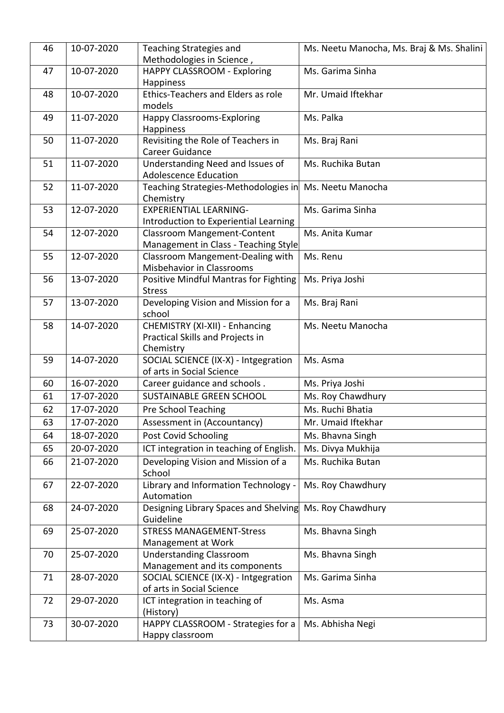| 46 | 10-07-2020 | <b>Teaching Strategies and</b><br>Methodologies in Science,       | Ms. Neetu Manocha, Ms. Braj & Ms. Shalini |
|----|------------|-------------------------------------------------------------------|-------------------------------------------|
| 47 | 10-07-2020 | HAPPY CLASSROOM - Exploring                                       | Ms. Garima Sinha                          |
|    |            | Happiness                                                         |                                           |
| 48 | 10-07-2020 | Ethics-Teachers and Elders as role<br>models                      | Mr. Umaid Iftekhar                        |
| 49 | 11-07-2020 | <b>Happy Classrooms-Exploring</b>                                 | Ms. Palka                                 |
|    |            | Happiness                                                         |                                           |
| 50 | 11-07-2020 | Revisiting the Role of Teachers in                                | Ms. Braj Rani                             |
|    |            | <b>Career Guidance</b>                                            |                                           |
| 51 | 11-07-2020 | Understanding Need and Issues of                                  | Ms. Ruchika Butan                         |
|    |            | <b>Adolescence Education</b>                                      |                                           |
| 52 | 11-07-2020 | Teaching Strategies-Methodologies in<br>Chemistry                 | Ms. Neetu Manocha                         |
| 53 | 12-07-2020 | <b>EXPERIENTIAL LEARNING-</b>                                     | Ms. Garima Sinha                          |
|    |            | Introduction to Experiential Learning                             |                                           |
| 54 | 12-07-2020 | <b>Classroom Mangement-Content</b>                                | Ms. Anita Kumar                           |
|    |            | Management in Class - Teaching Style                              |                                           |
| 55 | 12-07-2020 | Classroom Mangement-Dealing with                                  | Ms. Renu                                  |
|    |            | Misbehavior in Classrooms                                         |                                           |
| 56 | 13-07-2020 | Positive Mindful Mantras for Fighting                             | Ms. Priya Joshi                           |
|    |            | <b>Stress</b>                                                     |                                           |
| 57 | 13-07-2020 | Developing Vision and Mission for a                               | Ms. Braj Rani                             |
|    |            | school                                                            |                                           |
| 58 | 14-07-2020 | CHEMISTRY (XI-XII) - Enhancing                                    | Ms. Neetu Manocha                         |
|    |            | Practical Skills and Projects in                                  |                                           |
|    |            | Chemistry                                                         |                                           |
| 59 | 14-07-2020 | SOCIAL SCIENCE (IX-X) - Intgegration<br>of arts in Social Science | Ms. Asma                                  |
| 60 | 16-07-2020 | Career guidance and schools.                                      | Ms. Priya Joshi                           |
| 61 | 17-07-2020 | <b>SUSTAINABLE GREEN SCHOOL</b>                                   | Ms. Roy Chawdhury                         |
| 62 | 17-07-2020 | Pre School Teaching                                               | Ms. Ruchi Bhatia                          |
|    |            |                                                                   |                                           |
| 63 | 17-07-2020 | Assessment in (Accountancy)                                       | Mr. Umaid Iftekhar                        |
| 64 | 18-07-2020 | Post Covid Schooling                                              | Ms. Bhavna Singh                          |
| 65 | 20-07-2020 | ICT integration in teaching of English.                           | Ms. Divya Mukhija                         |
| 66 | 21-07-2020 | Developing Vision and Mission of a<br>School                      | Ms. Ruchika Butan                         |
| 67 | 22-07-2020 | Library and Information Technology -                              | Ms. Roy Chawdhury                         |
|    |            | Automation                                                        |                                           |
| 68 | 24-07-2020 | Designing Library Spaces and Shelving                             | Ms. Roy Chawdhury                         |
|    |            | Guideline                                                         |                                           |
| 69 | 25-07-2020 | <b>STRESS MANAGEMENT-Stress</b>                                   | Ms. Bhavna Singh                          |
|    |            | Management at Work                                                |                                           |
| 70 | 25-07-2020 | <b>Understanding Classroom</b>                                    | Ms. Bhavna Singh                          |
|    |            | Management and its components                                     |                                           |
| 71 | 28-07-2020 | SOCIAL SCIENCE (IX-X) - Intgegration                              | Ms. Garima Sinha                          |
|    |            | of arts in Social Science                                         |                                           |
| 72 | 29-07-2020 | ICT integration in teaching of                                    | Ms. Asma                                  |
| 73 | 30-07-2020 | (History)<br>HAPPY CLASSROOM - Strategies for a                   | Ms. Abhisha Negi                          |
|    |            | Happy classroom                                                   |                                           |
|    |            |                                                                   |                                           |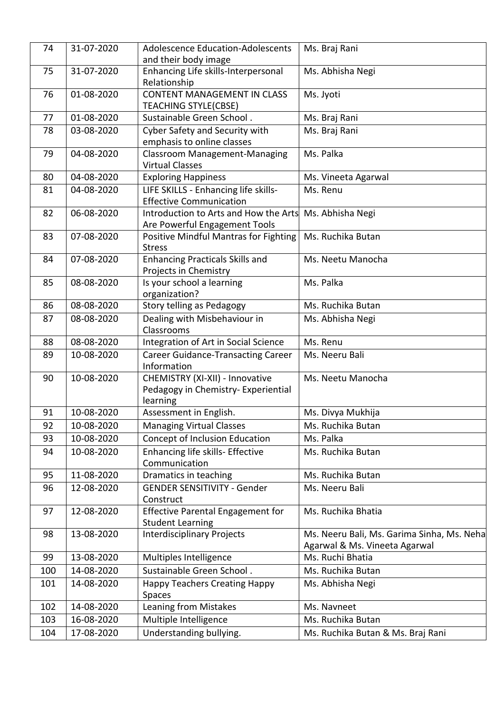| 74       | 31-07-2020 | Adolescence Education-Adolescents<br>and their body image         | Ms. Braj Rani                              |
|----------|------------|-------------------------------------------------------------------|--------------------------------------------|
| 75       | 31-07-2020 | Enhancing Life skills-Interpersonal<br>Relationship               | Ms. Abhisha Negi                           |
| 76       | 01-08-2020 | <b>CONTENT MANAGEMENT IN CLASS</b><br><b>TEACHING STYLE(CBSE)</b> | Ms. Jyoti                                  |
| 77       | 01-08-2020 | Sustainable Green School.                                         | Ms. Braj Rani                              |
| 78       | 03-08-2020 | Cyber Safety and Security with                                    | Ms. Braj Rani                              |
|          |            | emphasis to online classes                                        |                                            |
| 79       | 04-08-2020 | <b>Classroom Management-Managing</b><br><b>Virtual Classes</b>    | Ms. Palka                                  |
| 80       | 04-08-2020 | <b>Exploring Happiness</b>                                        | Ms. Vineeta Agarwal                        |
| 81       | 04-08-2020 | LIFE SKILLS - Enhancing life skills-                              | Ms. Renu                                   |
|          |            | <b>Effective Communication</b>                                    |                                            |
| 82       | 06-08-2020 | Introduction to Arts and How the Arts                             | Ms. Abhisha Negi                           |
|          |            | Are Powerful Engagement Tools                                     |                                            |
| 83       | 07-08-2020 | Positive Mindful Mantras for Fighting                             | Ms. Ruchika Butan                          |
| 84       | 07-08-2020 | <b>Stress</b><br><b>Enhancing Practicals Skills and</b>           | Ms. Neetu Manocha                          |
|          |            | Projects in Chemistry                                             |                                            |
| 85       | 08-08-2020 | Is your school a learning                                         | Ms. Palka                                  |
|          |            | organization?                                                     |                                            |
| 86       | 08-08-2020 | Story telling as Pedagogy                                         | Ms. Ruchika Butan                          |
| 87       | 08-08-2020 | Dealing with Misbehaviour in                                      | Ms. Abhisha Negi                           |
|          | 08-08-2020 | Classrooms                                                        | Ms. Renu                                   |
| 88<br>89 | 10-08-2020 | Integration of Art in Social Science                              |                                            |
|          |            | <b>Career Guidance-Transacting Career</b><br>Information          | Ms. Neeru Bali                             |
| 90       | 10-08-2020 | CHEMISTRY (XI-XII) - Innovative                                   | Ms. Neetu Manocha                          |
|          |            | Pedagogy in Chemistry- Experiential<br>learning                   |                                            |
| 91       | 10-08-2020 | Assessment in English.                                            | Ms. Divya Mukhija                          |
| 92       | 10-08-2020 | <b>Managing Virtual Classes</b>                                   | Ms. Ruchika Butan                          |
| 93       | 10-08-2020 | Concept of Inclusion Education                                    | Ms. Palka                                  |
| 94       | 10-08-2020 | Enhancing life skills- Effective<br>Communication                 | Ms. Ruchika Butan                          |
| 95       | 11-08-2020 | Dramatics in teaching                                             | Ms. Ruchika Butan                          |
| 96       | 12-08-2020 | <b>GENDER SENSITIVITY - Gender</b><br>Construct                   | Ms. Neeru Bali                             |
| 97       | 12-08-2020 | <b>Effective Parental Engagement for</b>                          | Ms. Ruchika Bhatia                         |
|          |            | <b>Student Learning</b>                                           |                                            |
| 98       | 13-08-2020 | <b>Interdisciplinary Projects</b>                                 | Ms. Neeru Bali, Ms. Garima Sinha, Ms. Neha |
|          |            |                                                                   | Agarwal & Ms. Vineeta Agarwal              |
| 99       | 13-08-2020 | Multiples Intelligence                                            | Ms. Ruchi Bhatia                           |
| 100      | 14-08-2020 | Sustainable Green School.                                         | Ms. Ruchika Butan                          |
| 101      | 14-08-2020 | <b>Happy Teachers Creating Happy</b><br>Spaces                    | Ms. Abhisha Negi                           |
| 102      | 14-08-2020 | Leaning from Mistakes                                             | Ms. Navneet                                |
| 103      | 16-08-2020 | Multiple Intelligence                                             | Ms. Ruchika Butan                          |
| 104      | 17-08-2020 | Understanding bullying.                                           | Ms. Ruchika Butan & Ms. Braj Rani          |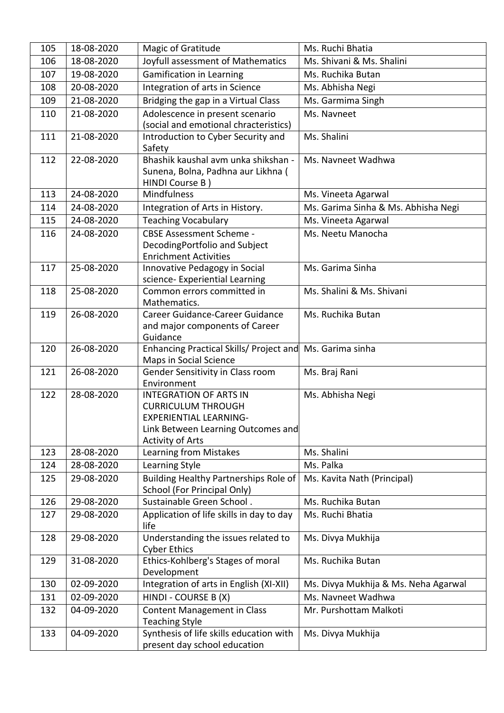| 105 | 18-08-2020 | Magic of Gratitude                                                                                                                                           | Ms. Ruchi Bhatia                     |
|-----|------------|--------------------------------------------------------------------------------------------------------------------------------------------------------------|--------------------------------------|
| 106 | 18-08-2020 | Joyfull assessment of Mathematics                                                                                                                            | Ms. Shivani & Ms. Shalini            |
| 107 | 19-08-2020 | <b>Gamification in Learning</b>                                                                                                                              | Ms. Ruchika Butan                    |
| 108 | 20-08-2020 | Integration of arts in Science                                                                                                                               | Ms. Abhisha Negi                     |
| 109 | 21-08-2020 | Bridging the gap in a Virtual Class                                                                                                                          | Ms. Garmima Singh                    |
| 110 | 21-08-2020 | Adolescence in present scenario                                                                                                                              | Ms. Navneet                          |
|     |            | (social and emotional chracteristics)                                                                                                                        |                                      |
| 111 | 21-08-2020 | Introduction to Cyber Security and<br>Safety                                                                                                                 | Ms. Shalini                          |
| 112 | 22-08-2020 | Bhashik kaushal avm unka shikshan -<br>Sunena, Bolna, Padhna aur Likhna (<br>HINDI Course B)                                                                 | Ms. Navneet Wadhwa                   |
| 113 | 24-08-2020 | <b>Mindfulness</b>                                                                                                                                           | Ms. Vineeta Agarwal                  |
| 114 | 24-08-2020 | Integration of Arts in History.                                                                                                                              | Ms. Garima Sinha & Ms. Abhisha Negi  |
| 115 | 24-08-2020 | <b>Teaching Vocabulary</b>                                                                                                                                   | Ms. Vineeta Agarwal                  |
| 116 | 24-08-2020 | <b>CBSE Assessment Scheme -</b><br>DecodingPortfolio and Subject<br><b>Enrichment Activities</b>                                                             | Ms. Neetu Manocha                    |
| 117 | 25-08-2020 | Innovative Pedagogy in Social<br>science- Experiential Learning                                                                                              | Ms. Garima Sinha                     |
| 118 | 25-08-2020 | Common errors committed in<br>Mathematics.                                                                                                                   | Ms. Shalini & Ms. Shivani            |
| 119 | 26-08-2020 | Career Guidance-Career Guidance<br>and major components of Career<br>Guidance                                                                                | Ms. Ruchika Butan                    |
| 120 | 26-08-2020 | Enhancing Practical Skills/ Project and Ms. Garima sinha<br>Maps in Social Science                                                                           |                                      |
| 121 | 26-08-2020 | Gender Sensitivity in Class room<br>Environment                                                                                                              | Ms. Braj Rani                        |
| 122 | 28-08-2020 | <b>INTEGRATION OF ARTS IN</b><br><b>CURRICULUM THROUGH</b><br><b>EXPERIENTIAL LEARNING-</b><br>Link Between Learning Outcomes and<br><b>Activity of Arts</b> | Ms. Abhisha Negi                     |
| 123 | 28-08-2020 | Learning from Mistakes                                                                                                                                       | Ms. Shalini                          |
| 124 | 28-08-2020 | Learning Style                                                                                                                                               | Ms. Palka                            |
| 125 | 29-08-2020 | Building Healthy Partnerships Role of<br>School (For Principal Only)                                                                                         | Ms. Kavita Nath (Principal)          |
| 126 | 29-08-2020 | Sustainable Green School.                                                                                                                                    | Ms. Ruchika Butan                    |
| 127 | 29-08-2020 | Application of life skills in day to day<br>life                                                                                                             | Ms. Ruchi Bhatia                     |
| 128 | 29-08-2020 | Understanding the issues related to<br><b>Cyber Ethics</b>                                                                                                   | Ms. Divya Mukhija                    |
| 129 | 31-08-2020 | Ethics-Kohlberg's Stages of moral<br>Development                                                                                                             | Ms. Ruchika Butan                    |
| 130 | 02-09-2020 | Integration of arts in English (XI-XII)                                                                                                                      | Ms. Divya Mukhija & Ms. Neha Agarwal |
| 131 | 02-09-2020 | HINDI - COURSE B (X)                                                                                                                                         | Ms. Navneet Wadhwa                   |
| 132 | 04-09-2020 | <b>Content Management in Class</b><br><b>Teaching Style</b>                                                                                                  | Mr. Purshottam Malkoti               |
| 133 | 04-09-2020 | Synthesis of life skills education with<br>present day school education                                                                                      | Ms. Divya Mukhija                    |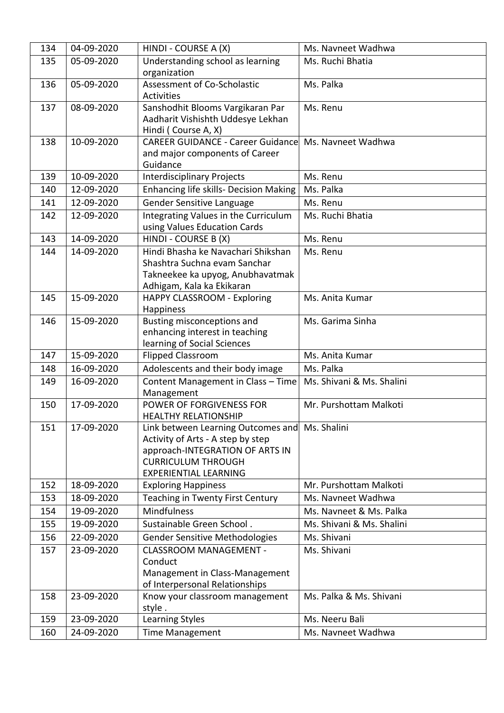| 134 | 04-09-2020 | HINDI - COURSE A (X)                                                                                                                                                                | Ms. Navneet Wadhwa        |
|-----|------------|-------------------------------------------------------------------------------------------------------------------------------------------------------------------------------------|---------------------------|
| 135 | 05-09-2020 | Understanding school as learning<br>organization                                                                                                                                    | Ms. Ruchi Bhatia          |
| 136 | 05-09-2020 | Assessment of Co-Scholastic<br><b>Activities</b>                                                                                                                                    | Ms. Palka                 |
| 137 | 08-09-2020 | Sanshodhit Blooms Vargikaran Par<br>Aadharit Vishishth Uddesye Lekhan<br>Hindi (Course A, X)                                                                                        | Ms. Renu                  |
| 138 | 10-09-2020 | <b>CAREER GUIDANCE - Career Guidance</b><br>and major components of Career<br>Guidance                                                                                              | Ms. Navneet Wadhwa        |
| 139 | 10-09-2020 | <b>Interdisciplinary Projects</b>                                                                                                                                                   | Ms. Renu                  |
| 140 | 12-09-2020 | <b>Enhancing life skills- Decision Making</b>                                                                                                                                       | Ms. Palka                 |
| 141 | 12-09-2020 | Gender Sensitive Language                                                                                                                                                           | Ms. Renu                  |
| 142 | 12-09-2020 | Integrating Values in the Curriculum<br>using Values Education Cards                                                                                                                | Ms. Ruchi Bhatia          |
| 143 | 14-09-2020 | HINDI - COURSE B (X)                                                                                                                                                                | Ms. Renu                  |
| 144 | 14-09-2020 | Hindi Bhasha ke Navachari Shikshan<br>Shashtra Suchna evam Sanchar<br>Takneekee ka upyog, Anubhavatmak<br>Adhigam, Kala ka Ekikaran                                                 | Ms. Renu                  |
| 145 | 15-09-2020 | HAPPY CLASSROOM - Exploring<br>Happiness                                                                                                                                            | Ms. Anita Kumar           |
| 146 | 15-09-2020 | Busting misconceptions and<br>enhancing interest in teaching<br>learning of Social Sciences                                                                                         | Ms. Garima Sinha          |
| 147 | 15-09-2020 | <b>Flipped Classroom</b>                                                                                                                                                            | Ms. Anita Kumar           |
| 148 | 16-09-2020 | Adolescents and their body image                                                                                                                                                    | Ms. Palka                 |
| 149 | 16-09-2020 | Content Management in Class - Time<br>Management                                                                                                                                    | Ms. Shivani & Ms. Shalini |
| 150 | 17-09-2020 | POWER OF FORGIVENESS FOR<br><b>HEALTHY RELATIONSHIP</b>                                                                                                                             | Mr. Purshottam Malkoti    |
| 151 | 17-09-2020 | Link between Learning Outcomes and Ms. Shalini<br>Activity of Arts - A step by step<br>approach-INTEGRATION OF ARTS IN<br><b>CURRICULUM THROUGH</b><br><b>EXPERIENTIAL LEARNING</b> |                           |
| 152 | 18-09-2020 | <b>Exploring Happiness</b>                                                                                                                                                          | Mr. Purshottam Malkoti    |
| 153 | 18-09-2020 | Teaching in Twenty First Century                                                                                                                                                    | Ms. Navneet Wadhwa        |
| 154 | 19-09-2020 | Mindfulness                                                                                                                                                                         | Ms. Navneet & Ms. Palka   |
| 155 | 19-09-2020 | Sustainable Green School.                                                                                                                                                           | Ms. Shivani & Ms. Shalini |
| 156 | 22-09-2020 | <b>Gender Sensitive Methodologies</b>                                                                                                                                               | Ms. Shivani               |
| 157 | 23-09-2020 | <b>CLASSROOM MANAGEMENT -</b><br>Conduct<br>Management in Class-Management<br>of Interpersonal Relationships                                                                        | Ms. Shivani               |
| 158 | 23-09-2020 | Know your classroom management<br>style.                                                                                                                                            | Ms. Palka & Ms. Shivani   |
| 159 | 23-09-2020 | Learning Styles                                                                                                                                                                     | Ms. Neeru Bali            |
| 160 | 24-09-2020 | <b>Time Management</b>                                                                                                                                                              | Ms. Navneet Wadhwa        |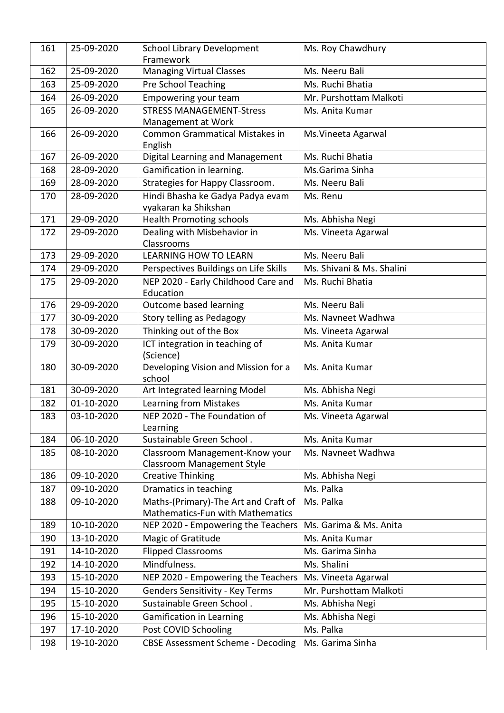| 161 | 25-09-2020 | <b>School Library Development</b><br>Framework                                  | Ms. Roy Chawdhury         |
|-----|------------|---------------------------------------------------------------------------------|---------------------------|
| 162 | 25-09-2020 | <b>Managing Virtual Classes</b>                                                 | Ms. Neeru Bali            |
| 163 | 25-09-2020 | Pre School Teaching                                                             | Ms. Ruchi Bhatia          |
| 164 | 26-09-2020 | Empowering your team                                                            | Mr. Purshottam Malkoti    |
| 165 | 26-09-2020 | <b>STRESS MANAGEMENT-Stress</b>                                                 | Ms. Anita Kumar           |
|     |            | Management at Work                                                              |                           |
| 166 | 26-09-2020 | <b>Common Grammatical Mistakes in</b><br>English                                | Ms. Vineeta Agarwal       |
| 167 | 26-09-2020 | Digital Learning and Management                                                 | Ms. Ruchi Bhatia          |
| 168 | 28-09-2020 | Gamification in learning.                                                       | Ms.Garima Sinha           |
| 169 | 28-09-2020 | Strategies for Happy Classroom.                                                 | Ms. Neeru Bali            |
| 170 | 28-09-2020 | Hindi Bhasha ke Gadya Padya evam<br>vyakaran ka Shikshan                        | Ms. Renu                  |
| 171 | 29-09-2020 | <b>Health Promoting schools</b>                                                 | Ms. Abhisha Negi          |
| 172 | 29-09-2020 | Dealing with Misbehavior in<br>Classrooms                                       | Ms. Vineeta Agarwal       |
| 173 | 29-09-2020 | <b>LEARNING HOW TO LEARN</b>                                                    | Ms. Neeru Bali            |
| 174 | 29-09-2020 | Perspectives Buildings on Life Skills                                           | Ms. Shivani & Ms. Shalini |
| 175 | 29-09-2020 | NEP 2020 - Early Childhood Care and<br>Education                                | Ms. Ruchi Bhatia          |
| 176 | 29-09-2020 | Outcome based learning                                                          | Ms. Neeru Bali            |
| 177 | 30-09-2020 | Story telling as Pedagogy                                                       | Ms. Navneet Wadhwa        |
| 178 | 30-09-2020 | Thinking out of the Box                                                         | Ms. Vineeta Agarwal       |
| 179 | 30-09-2020 | ICT integration in teaching of<br>(Science)                                     | Ms. Anita Kumar           |
| 180 | 30-09-2020 | Developing Vision and Mission for a<br>school                                   | Ms. Anita Kumar           |
| 181 | 30-09-2020 | Art Integrated learning Model                                                   | Ms. Abhisha Negi          |
| 182 | 01-10-2020 | Learning from Mistakes                                                          | Ms. Anita Kumar           |
| 183 | 03-10-2020 | NEP 2020 - The Foundation of                                                    | Ms. Vineeta Agarwal       |
|     |            | Learning                                                                        |                           |
| 184 | 06-10-2020 | Sustainable Green School.                                                       | Ms. Anita Kumar           |
| 185 | 08-10-2020 | Classroom Management-Know your<br><b>Classroom Management Style</b>             | Ms. Navneet Wadhwa        |
| 186 | 09-10-2020 | <b>Creative Thinking</b>                                                        | Ms. Abhisha Negi          |
| 187 | 09-10-2020 | Dramatics in teaching                                                           | Ms. Palka                 |
| 188 | 09-10-2020 | Maths-(Primary)-The Art and Craft of<br><b>Mathematics-Fun with Mathematics</b> | Ms. Palka                 |
| 189 | 10-10-2020 | NEP 2020 - Empowering the Teachers                                              | Ms. Garima & Ms. Anita    |
| 190 | 13-10-2020 | Magic of Gratitude                                                              | Ms. Anita Kumar           |
| 191 | 14-10-2020 | <b>Flipped Classrooms</b>                                                       | Ms. Garima Sinha          |
| 192 | 14-10-2020 | Mindfulness.                                                                    | Ms. Shalini               |
| 193 | 15-10-2020 | NEP 2020 - Empowering the Teachers                                              | Ms. Vineeta Agarwal       |
| 194 | 15-10-2020 | <b>Genders Sensitivity - Key Terms</b>                                          | Mr. Purshottam Malkoti    |
| 195 | 15-10-2020 | Sustainable Green School.                                                       | Ms. Abhisha Negi          |
| 196 | 15-10-2020 | <b>Gamification in Learning</b>                                                 | Ms. Abhisha Negi          |
| 197 | 17-10-2020 | Post COVID Schooling                                                            | Ms. Palka                 |
| 198 | 19-10-2020 | <b>CBSE Assessment Scheme - Decoding</b>                                        | Ms. Garima Sinha          |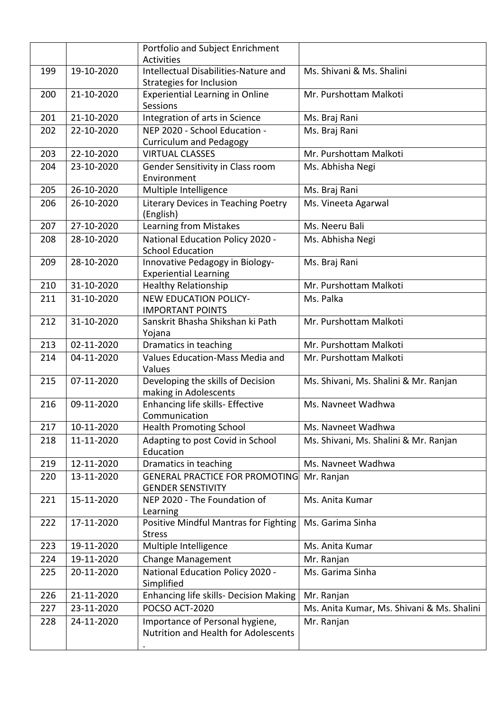|     |            | Portfolio and Subject Enrichment<br><b>Activities</b>                   |                                            |
|-----|------------|-------------------------------------------------------------------------|--------------------------------------------|
| 199 | 19-10-2020 | Intellectual Disabilities-Nature and<br>Strategies for Inclusion        | Ms. Shivani & Ms. Shalini                  |
| 200 | 21-10-2020 | <b>Experiential Learning in Online</b><br>Sessions                      | Mr. Purshottam Malkoti                     |
| 201 | 21-10-2020 | Integration of arts in Science                                          | Ms. Braj Rani                              |
| 202 | 22-10-2020 | NEP 2020 - School Education -                                           | Ms. Braj Rani                              |
|     |            | <b>Curriculum and Pedagogy</b>                                          |                                            |
| 203 | 22-10-2020 | <b>VIRTUAL CLASSES</b>                                                  | Mr. Purshottam Malkoti                     |
| 204 | 23-10-2020 | Gender Sensitivity in Class room<br>Environment                         | Ms. Abhisha Negi                           |
| 205 | 26-10-2020 | Multiple Intelligence                                                   | Ms. Braj Rani                              |
| 206 | 26-10-2020 | Literary Devices in Teaching Poetry<br>(English)                        | Ms. Vineeta Agarwal                        |
| 207 | 27-10-2020 | Learning from Mistakes                                                  | Ms. Neeru Bali                             |
| 208 | 28-10-2020 | National Education Policy 2020 -                                        | Ms. Abhisha Negi                           |
|     |            | <b>School Education</b>                                                 |                                            |
| 209 | 28-10-2020 | Innovative Pedagogy in Biology-<br><b>Experiential Learning</b>         | Ms. Braj Rani                              |
| 210 | 31-10-2020 | <b>Healthy Relationship</b>                                             | Mr. Purshottam Malkoti                     |
| 211 | 31-10-2020 | <b>NEW EDUCATION POLICY-</b><br><b>IMPORTANT POINTS</b>                 | Ms. Palka                                  |
| 212 | 31-10-2020 | Sanskrit Bhasha Shikshan ki Path<br>Yojana                              | Mr. Purshottam Malkoti                     |
| 213 | 02-11-2020 | Dramatics in teaching                                                   | Mr. Purshottam Malkoti                     |
| 214 | 04-11-2020 | Values Education-Mass Media and<br>Values                               | Mr. Purshottam Malkoti                     |
| 215 | 07-11-2020 | Developing the skills of Decision<br>making in Adolescents              | Ms. Shivani, Ms. Shalini & Mr. Ranjan      |
| 216 | 09-11-2020 | Enhancing life skills- Effective<br>Communication                       | Ms. Navneet Wadhwa                         |
| 217 | 10-11-2020 | <b>Health Promoting School</b>                                          | Ms. Navneet Wadhwa                         |
| 218 | 11-11-2020 | Adapting to post Covid in School<br>Education                           | Ms. Shivani, Ms. Shalini & Mr. Ranjan      |
| 219 | 12-11-2020 | Dramatics in teaching                                                   | Ms. Navneet Wadhwa                         |
| 220 | 13-11-2020 | <b>GENERAL PRACTICE FOR PROMOTING</b><br><b>GENDER SENSTIVITY</b>       | Mr. Ranjan                                 |
| 221 | 15-11-2020 | NEP 2020 - The Foundation of<br>Learning                                | Ms. Anita Kumar                            |
| 222 | 17-11-2020 | <b>Positive Mindful Mantras for Fighting</b><br><b>Stress</b>           | Ms. Garima Sinha                           |
| 223 | 19-11-2020 | Multiple Intelligence                                                   | Ms. Anita Kumar                            |
| 224 | 19-11-2020 | Change Management                                                       | Mr. Ranjan                                 |
| 225 | 20-11-2020 | National Education Policy 2020 -<br>Simplified                          | Ms. Garima Sinha                           |
| 226 | 21-11-2020 | Enhancing life skills- Decision Making                                  | Mr. Ranjan                                 |
| 227 | 23-11-2020 | POCSO ACT-2020                                                          | Ms. Anita Kumar, Ms. Shivani & Ms. Shalini |
| 228 | 24-11-2020 | Importance of Personal hygiene,<br>Nutrition and Health for Adolescents | Mr. Ranjan                                 |
|     |            |                                                                         |                                            |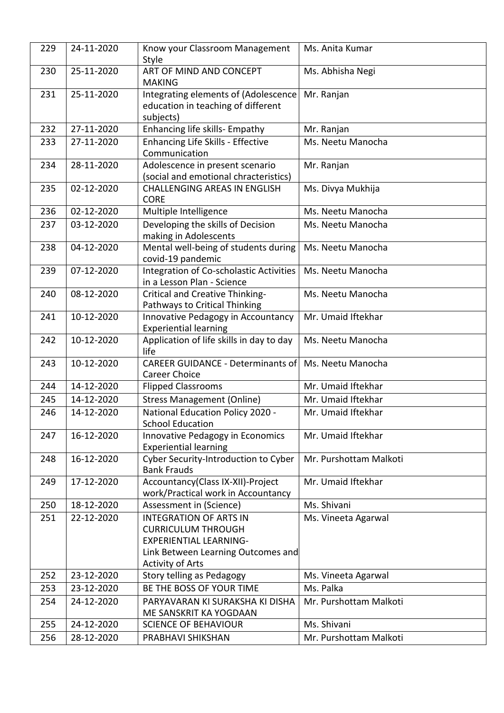| 229 | 24-11-2020 | Know your Classroom Management<br>Style                                                 | Ms. Anita Kumar        |
|-----|------------|-----------------------------------------------------------------------------------------|------------------------|
| 230 | 25-11-2020 | ART OF MIND AND CONCEPT<br><b>MAKING</b>                                                | Ms. Abhisha Negi       |
| 231 | 25-11-2020 | Integrating elements of (Adolescence<br>education in teaching of different<br>subjects) | Mr. Ranjan             |
| 232 | 27-11-2020 | Enhancing life skills- Empathy                                                          | Mr. Ranjan             |
| 233 | 27-11-2020 | Enhancing Life Skills - Effective<br>Communication                                      | Ms. Neetu Manocha      |
| 234 | 28-11-2020 | Adolescence in present scenario<br>(social and emotional chracteristics)                | Mr. Ranjan             |
| 235 | 02-12-2020 | <b>CHALLENGING AREAS IN ENGLISH</b><br><b>CORE</b>                                      | Ms. Divya Mukhija      |
| 236 | 02-12-2020 | Multiple Intelligence                                                                   | Ms. Neetu Manocha      |
| 237 | 03-12-2020 | Developing the skills of Decision<br>making in Adolescents                              | Ms. Neetu Manocha      |
| 238 | 04-12-2020 | Mental well-being of students during<br>covid-19 pandemic                               | Ms. Neetu Manocha      |
| 239 | 07-12-2020 | Integration of Co-scholastic Activities<br>in a Lesson Plan - Science                   | Ms. Neetu Manocha      |
| 240 | 08-12-2020 | Critical and Creative Thinking-<br>Pathways to Critical Thinking                        | Ms. Neetu Manocha      |
| 241 | 10-12-2020 | Innovative Pedagogy in Accountancy<br><b>Experiential learning</b>                      | Mr. Umaid Iftekhar     |
| 242 | 10-12-2020 | Application of life skills in day to day<br>life                                        | Ms. Neetu Manocha      |
| 243 | 10-12-2020 | <b>CAREER GUIDANCE - Determinants of</b><br><b>Career Choice</b>                        | Ms. Neetu Manocha      |
| 244 | 14-12-2020 | <b>Flipped Classrooms</b>                                                               | Mr. Umaid Iftekhar     |
| 245 | 14-12-2020 | <b>Stress Management (Online)</b>                                                       | Mr. Umaid Iftekhar     |
| 246 | 14-12-2020 | National Education Policy 2020 -<br><b>School Education</b>                             | Mr. Umaid Iftekhar     |
| 247 | 16-12-2020 | Innovative Pedagogy in Economics<br><b>Experiential learning</b>                        | Mr. Umaid Iftekhar     |
| 248 | 16-12-2020 | Cyber Security-Introduction to Cyber<br><b>Bank Frauds</b>                              | Mr. Purshottam Malkoti |
| 249 | 17-12-2020 | Accountancy(Class IX-XII)-Project<br>work/Practical work in Accountancy                 | Mr. Umaid Iftekhar     |
| 250 | 18-12-2020 | Assessment in (Science)                                                                 | Ms. Shivani            |
| 251 | 22-12-2020 | <b>INTEGRATION OF ARTS IN</b><br><b>CURRICULUM THROUGH</b>                              | Ms. Vineeta Agarwal    |
|     |            | <b>EXPERIENTIAL LEARNING-</b>                                                           |                        |
|     |            | Link Between Learning Outcomes and<br><b>Activity of Arts</b>                           |                        |
| 252 | 23-12-2020 | Story telling as Pedagogy                                                               | Ms. Vineeta Agarwal    |
| 253 | 23-12-2020 | BE THE BOSS OF YOUR TIME                                                                | Ms. Palka              |
| 254 | 24-12-2020 | PARYAVARAN KI SURAKSHA KI DISHA<br>ME SANSKRIT KA YOGDAAN                               | Mr. Purshottam Malkoti |
| 255 | 24-12-2020 | <b>SCIENCE OF BEHAVIOUR</b>                                                             | Ms. Shivani            |
| 256 | 28-12-2020 | PRABHAVI SHIKSHAN                                                                       | Mr. Purshottam Malkoti |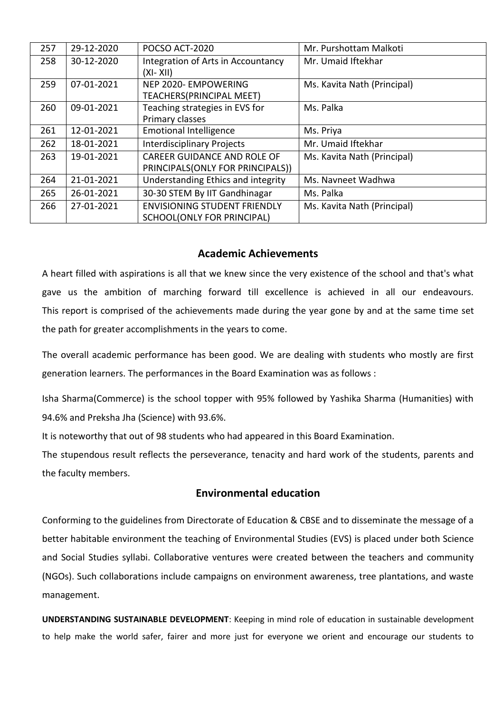| 257 | 29-12-2020 | POCSO ACT-2020                                                         | Mr. Purshottam Malkoti      |
|-----|------------|------------------------------------------------------------------------|-----------------------------|
| 258 | 30-12-2020 | Integration of Arts in Accountancy<br>$(XI - XII)$                     | Mr. Umaid Iftekhar          |
| 259 | 07-01-2021 | NEP 2020- EMPOWERING<br>TEACHERS(PRINCIPAL MEET)                       | Ms. Kavita Nath (Principal) |
| 260 | 09-01-2021 | Teaching strategies in EVS for<br>Primary classes                      | Ms. Palka                   |
| 261 | 12-01-2021 | <b>Emotional Intelligence</b>                                          | Ms. Priya                   |
| 262 | 18-01-2021 | <b>Interdisciplinary Projects</b>                                      | Mr. Umaid Iftekhar          |
| 263 | 19-01-2021 | <b>CAREER GUIDANCE AND ROLE OF</b><br>PRINCIPALS(ONLY FOR PRINCIPALS)) | Ms. Kavita Nath (Principal) |
| 264 | 21-01-2021 | Understanding Ethics and integrity                                     | Ms. Navneet Wadhwa          |
| 265 | 26-01-2021 | 30-30 STEM By IIT Gandhinagar                                          | Ms. Palka                   |
| 266 | 27-01-2021 | <b>ENVISIONING STUDENT FRIENDLY</b><br>SCHOOL(ONLY FOR PRINCIPAL)      | Ms. Kavita Nath (Principal) |

### **Academic Achievements**

A heart filled with aspirations is all that we knew since the very existence of the school and that's what gave us the ambition of marching forward till excellence is achieved in all our endeavours. This report is comprised of the achievements made during the year gone by and at the same time set the path for greater accomplishments in the years to come.

The overall academic performance has been good. We are dealing with students who mostly are first generation learners. The performances in the Board Examination was as follows :

Isha Sharma(Commerce) is the school topper with 95% followed by Yashika Sharma (Humanities) with 94.6% and Preksha Jha (Science) with 93.6%.

It is noteworthy that out of 98 students who had appeared in this Board Examination.

The stupendous result reflects the perseverance, tenacity and hard work of the students, parents and the faculty members.

### **Environmental education**

Conforming to the guidelines from Directorate of Education & CBSE and to disseminate the message of a better habitable environment the teaching of Environmental Studies (EVS) is placed under both Science and Social Studies syllabi. Collaborative ventures were created between the teachers and community (NGOs). Such collaborations include campaigns on environment awareness, tree plantations, and waste management.

**UNDERSTANDING SUSTAINABLE DEVELOPMENT**: Keeping in mind role of education in sustainable development to help make the world safer, fairer and more just for everyone we orient and encourage our students to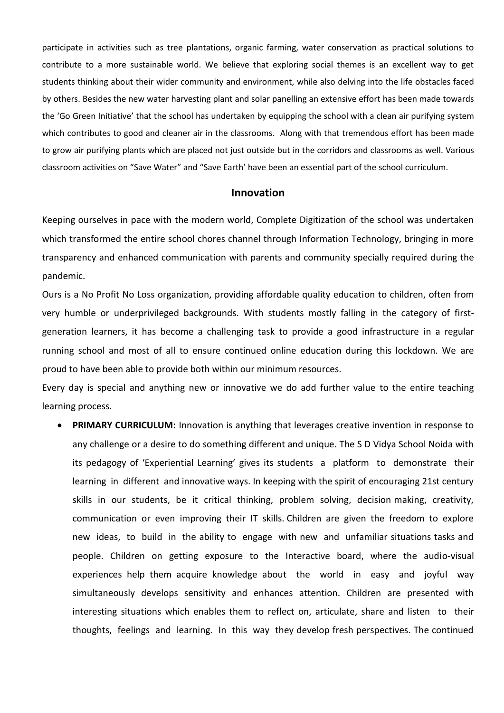participate in activities such as tree plantations, organic farming, water conservation as practical solutions to contribute to a more sustainable world. We believe that exploring social themes is an excellent way to get students thinking about their wider community and environment, while also delving into the life obstacles faced by others. Besides the new water harvesting plant and solar panelling an extensive effort has been made towards the 'Go Green Initiative' that the school has undertaken by equipping the school with a clean air purifying system which contributes to good and cleaner air in the classrooms. Along with that tremendous effort has been made to grow air purifying plants which are placed not just outside but in the corridors and classrooms as well. Various classroom activities on "Save Water" and "Save Earth' have been an essential part of the school curriculum.

#### **Innovation**

Keeping ourselves in pace with the modern world, Complete Digitization of the school was undertaken which transformed the entire school chores channel through Information Technology, bringing in more transparency and enhanced communication with parents and community specially required during the pandemic.

Ours is a No Profit No Loss organization, providing affordable quality education to children, often from very humble or underprivileged backgrounds. With students mostly falling in the category of firstgeneration learners, it has become a challenging task to provide a good infrastructure in a regular running school and most of all to ensure continued online education during this lockdown. We are proud to have been able to provide both within our minimum resources.

Every day is special and anything new or innovative we do add further value to the entire teaching learning process.

 **PRIMARY CURRICULUM:** Innovation is anything that leverages creative invention in response to any challenge or a desire to do something different and unique. The S D Vidya School Noida with its pedagogy of 'Experiential Learning' gives its students a platform to demonstrate their learning in different and innovative ways. In keeping with the spirit of encouraging 21st century skills in our students, be it critical thinking, problem solving, decision making, creativity, communication or even improving their IT skills. Children are given the freedom to explore new ideas, to build in the ability to engage with new and unfamiliar situations tasks and people. Children on getting exposure to the Interactive board, where the audio-visual experiences help them acquire knowledge about the world in easy and joyful way simultaneously develops sensitivity and enhances attention. Children are presented with interesting situations which enables them to reflect on, articulate, share and listen to their thoughts, feelings and learning. In this way they develop fresh perspectives. The continued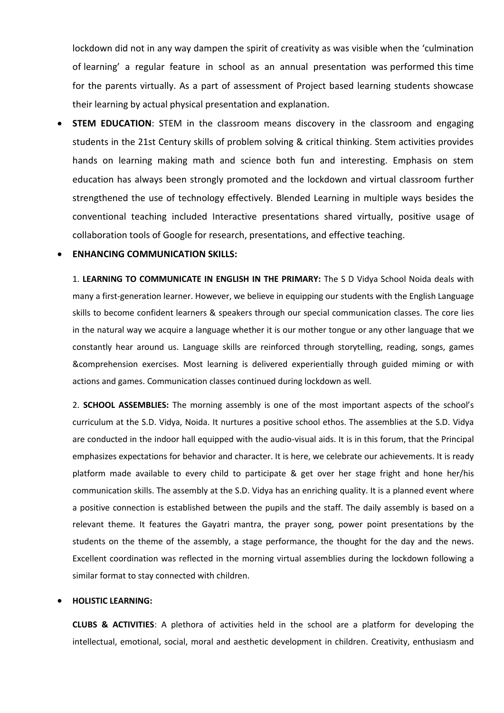lockdown did not in any way dampen the spirit of creativity as was visible when the 'culmination of learning' a regular feature in school as an annual presentation was performed this time for the parents virtually. As a part of assessment of Project based learning students showcase their learning by actual physical presentation and explanation.

**STEM EDUCATION:** STEM in the classroom means discovery in the classroom and engaging students in the 21st Century skills of problem solving & critical thinking. Stem activities provides hands on learning making math and science both fun and interesting. Emphasis on stem education has always been strongly promoted and the lockdown and virtual classroom further strengthened the use of technology effectively. Blended Learning in multiple ways besides the conventional teaching included Interactive presentations shared virtually, positive usage of collaboration tools of Google for research, presentations, and effective teaching.

### **ENHANCING COMMUNICATION SKILLS:**

1. **LEARNING TO COMMUNICATE IN ENGLISH IN THE PRIMARY:** The S D Vidya School Noida deals with many a first-generation learner. However, we believe in equipping our students with the English Language skills to become confident learners & speakers through our special communication classes. The core lies in the natural way we acquire a language whether it is our mother tongue or any other language that we constantly hear around us. Language skills are reinforced through storytelling, reading, songs, games &comprehension exercises. Most learning is delivered experientially through guided miming or with actions and games. Communication classes continued during lockdown as well.

2. **SCHOOL ASSEMBLIES:** The morning assembly is one of the most important aspects of the school's curriculum at the S.D. Vidya, Noida. It nurtures a positive school ethos. The assemblies at the S.D. Vidya are conducted in the indoor hall equipped with the audio-visual aids. It is in this forum, that the Principal emphasizes expectations for behavior and character. It is here, we celebrate our achievements. It is ready platform made available to every child to participate & get over her stage fright and hone her/his communication skills. The assembly at the S.D. Vidya has an enriching quality. It is a planned event where a positive connection is established between the pupils and the staff. The daily assembly is based on a relevant theme. It features the Gayatri mantra, the prayer song, power point presentations by the students on the theme of the assembly, a stage performance, the thought for the day and the news. Excellent coordination was reflected in the morning virtual assemblies during the lockdown following a similar format to stay connected with children.

#### **HOLISTIC LEARNING:**

**CLUBS & ACTIVITIES**: A plethora of activities held in the school are a platform for developing the intellectual, emotional, social, moral and aesthetic development in children. Creativity, enthusiasm and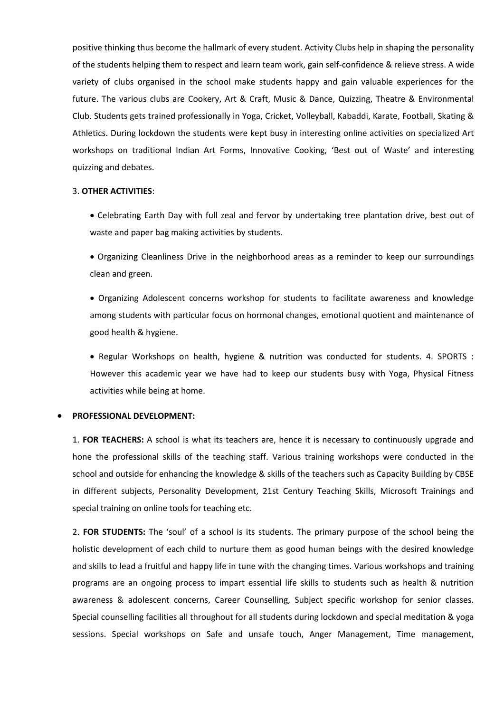positive thinking thus become the hallmark of every student. Activity Clubs help in shaping the personality of the students helping them to respect and learn team work, gain self-confidence & relieve stress. A wide variety of clubs organised in the school make students happy and gain valuable experiences for the future. The various clubs are Cookery, Art & Craft, Music & Dance, Quizzing, Theatre & Environmental Club. Students gets trained professionally in Yoga, Cricket, Volleyball, Kabaddi, Karate, Football, Skating & Athletics. During lockdown the students were kept busy in interesting online activities on specialized Art workshops on traditional Indian Art Forms, Innovative Cooking, 'Best out of Waste' and interesting quizzing and debates.

#### 3. **OTHER ACTIVITIES**:

 Celebrating Earth Day with full zeal and fervor by undertaking tree plantation drive, best out of waste and paper bag making activities by students.

 Organizing Cleanliness Drive in the neighborhood areas as a reminder to keep our surroundings clean and green.

 Organizing Adolescent concerns workshop for students to facilitate awareness and knowledge among students with particular focus on hormonal changes, emotional quotient and maintenance of good health & hygiene.

• Regular Workshops on health, hygiene & nutrition was conducted for students. 4. SPORTS : However this academic year we have had to keep our students busy with Yoga, Physical Fitness activities while being at home.

#### **PROFESSIONAL DEVELOPMENT:**

1. **FOR TEACHERS:** A school is what its teachers are, hence it is necessary to continuously upgrade and hone the professional skills of the teaching staff. Various training workshops were conducted in the school and outside for enhancing the knowledge & skills of the teachers such as Capacity Building by CBSE in different subjects, Personality Development, 21st Century Teaching Skills, Microsoft Trainings and special training on online tools for teaching etc.

2. **FOR STUDENTS:** The 'soul' of a school is its students. The primary purpose of the school being the holistic development of each child to nurture them as good human beings with the desired knowledge and skills to lead a fruitful and happy life in tune with the changing times. Various workshops and training programs are an ongoing process to impart essential life skills to students such as health & nutrition awareness & adolescent concerns, Career Counselling, Subject specific workshop for senior classes. Special counselling facilities all throughout for all students during lockdown and special meditation & yoga sessions. Special workshops on Safe and unsafe touch, Anger Management, Time management,